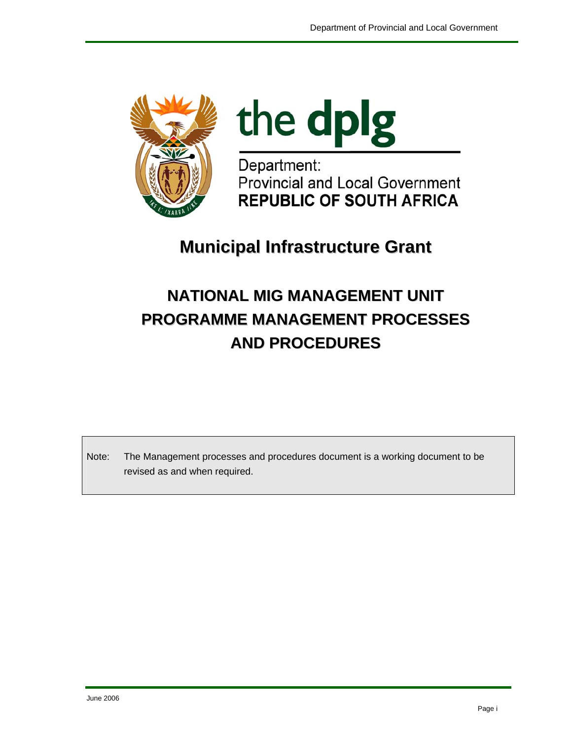



Department: **Provincial and Local Government REPUBLIC OF SOUTH AFRICA** 

# **Municipal Infrastructure Grant**

# **NATIONAL MIG MANAGEMENT UNIT PROGRAMME MANAGEMENT PROCESSES AND PROCEDURES**

Note: The Management processes and procedures document is a working document to be revised as and when required.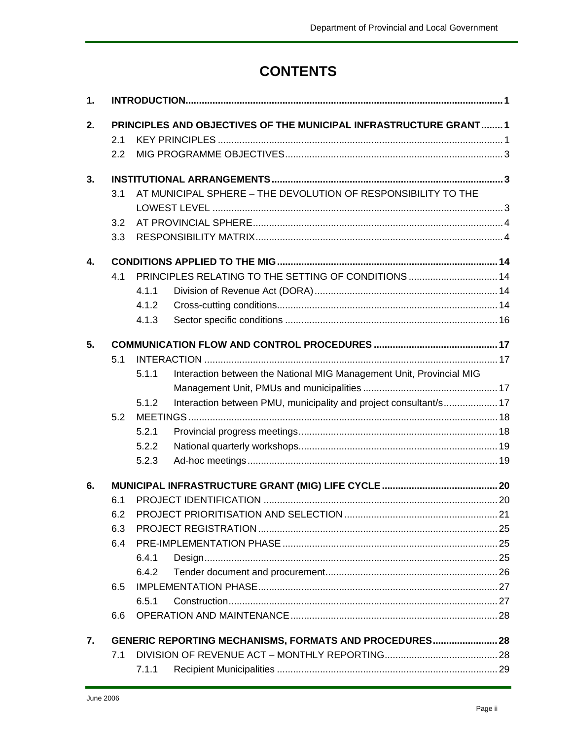## **CONTENTS**

| 1. |     |       |                                                                      |  |
|----|-----|-------|----------------------------------------------------------------------|--|
| 2. |     |       | PRINCIPLES AND OBJECTIVES OF THE MUNICIPAL INFRASTRUCTURE GRANT 1    |  |
|    | 2.1 |       |                                                                      |  |
|    | 2.2 |       |                                                                      |  |
| 3. |     |       |                                                                      |  |
|    | 3.1 |       | AT MUNICIPAL SPHERE - THE DEVOLUTION OF RESPONSIBILITY TO THE        |  |
|    |     |       |                                                                      |  |
|    | 3.2 |       |                                                                      |  |
|    | 3.3 |       |                                                                      |  |
| 4. |     |       |                                                                      |  |
|    | 4.1 |       | PRINCIPLES RELATING TO THE SETTING OF CONDITIONS  14                 |  |
|    |     | 4.1.1 |                                                                      |  |
|    |     | 4.1.2 |                                                                      |  |
|    |     | 4.1.3 |                                                                      |  |
| 5. |     |       |                                                                      |  |
|    | 5.1 |       |                                                                      |  |
|    |     | 5.1.1 | Interaction between the National MIG Management Unit, Provincial MIG |  |
|    |     |       |                                                                      |  |
|    |     | 5.1.2 | Interaction between PMU, municipality and project consultant/s 17    |  |
|    | 5.2 |       |                                                                      |  |
|    |     | 5.2.1 |                                                                      |  |
|    |     | 5.2.2 |                                                                      |  |
|    |     | 5.2.3 |                                                                      |  |
| 6. |     |       |                                                                      |  |
|    | 6.1 |       |                                                                      |  |
|    | 6.2 |       |                                                                      |  |
|    | 6.3 |       |                                                                      |  |
|    | 6.4 |       |                                                                      |  |
|    |     | 6.4.1 |                                                                      |  |
|    |     | 6.4.2 |                                                                      |  |
|    | 6.5 |       |                                                                      |  |
|    |     | 6.5.1 |                                                                      |  |
|    | 6.6 |       |                                                                      |  |
| 7. |     |       | <b>GENERIC REPORTING MECHANISMS, FORMATS AND PROCEDURES 28</b>       |  |
|    | 7.1 |       |                                                                      |  |
|    |     | 7.1.1 |                                                                      |  |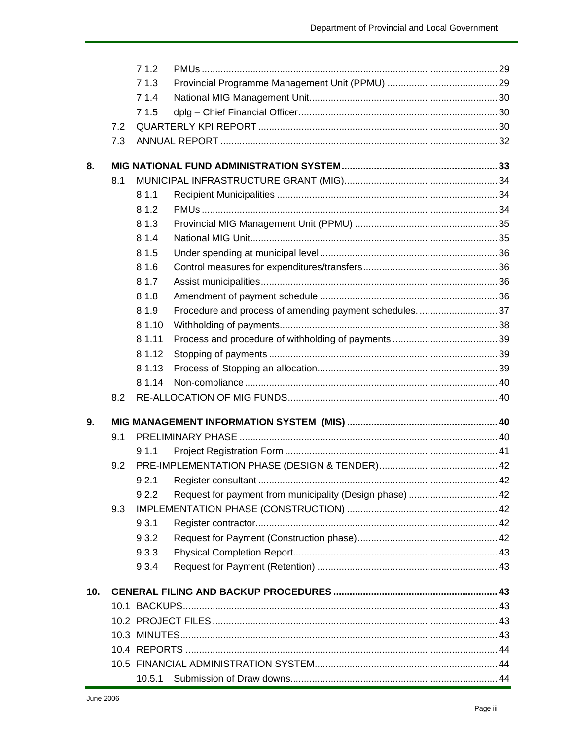|                 |     | 7.1.2  |                                                        |  |
|-----------------|-----|--------|--------------------------------------------------------|--|
|                 |     | 7.1.3  |                                                        |  |
|                 |     | 7.1.4  |                                                        |  |
|                 |     | 7.1.5  |                                                        |  |
|                 | 7.2 |        |                                                        |  |
|                 | 7.3 |        |                                                        |  |
| 8.              |     |        |                                                        |  |
|                 | 8.1 |        |                                                        |  |
|                 |     | 8.1.1  |                                                        |  |
|                 |     | 8.1.2  |                                                        |  |
|                 |     | 8.1.3  |                                                        |  |
|                 |     | 8.1.4  |                                                        |  |
|                 |     | 8.1.5  |                                                        |  |
|                 |     | 8.1.6  |                                                        |  |
|                 |     | 8.1.7  |                                                        |  |
|                 |     | 8.1.8  |                                                        |  |
|                 |     | 8.1.9  | Procedure and process of amending payment schedules 37 |  |
|                 |     | 8.1.10 |                                                        |  |
|                 |     | 8.1.11 |                                                        |  |
|                 |     | 8.1.12 |                                                        |  |
|                 |     | 8.1.13 |                                                        |  |
|                 |     | 8.1.14 |                                                        |  |
|                 | 8.2 |        |                                                        |  |
| 9.              |     |        |                                                        |  |
|                 | 9.1 |        |                                                        |  |
|                 |     | 9.1.1  |                                                        |  |
|                 | 9.2 |        |                                                        |  |
|                 |     |        |                                                        |  |
|                 |     | 9.2.2  |                                                        |  |
|                 | 9.3 |        |                                                        |  |
|                 |     | 9.3.1  |                                                        |  |
|                 |     | 9.3.2  |                                                        |  |
|                 |     | 9.3.3  |                                                        |  |
|                 |     | 9.3.4  |                                                        |  |
| 10 <sub>1</sub> |     |        |                                                        |  |
|                 |     |        |                                                        |  |
|                 |     |        |                                                        |  |
|                 |     |        |                                                        |  |
|                 |     |        |                                                        |  |
|                 |     |        |                                                        |  |
|                 |     | 10.5.1 |                                                        |  |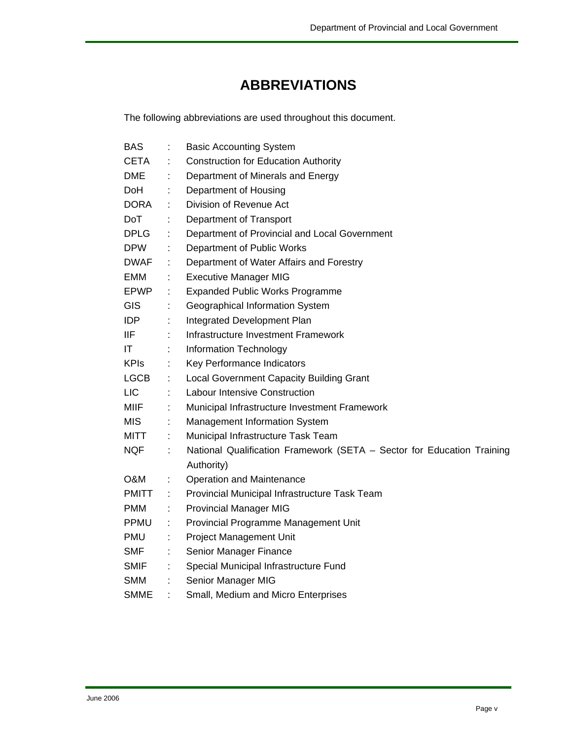## **ABBREVIATIONS**

The following abbreviations are used throughout this document.

| <b>BAS</b>   |                              | <b>Basic Accounting System</b>                                         |
|--------------|------------------------------|------------------------------------------------------------------------|
| CETA         |                              | <b>Construction for Education Authority</b>                            |
| <b>DME</b>   |                              | Department of Minerals and Energy                                      |
| DoH          | ÷                            | Department of Housing                                                  |
| <b>DORA</b>  |                              | Division of Revenue Act                                                |
| <b>DoT</b>   | ÷                            | Department of Transport                                                |
| <b>DPLG</b>  | t.                           | Department of Provincial and Local Government                          |
| <b>DPW</b>   | t.                           | Department of Public Works                                             |
| DWAF.        | ÷                            | Department of Water Affairs and Forestry                               |
| EMM          | ÷                            | <b>Executive Manager MIG</b>                                           |
| <b>EPWP</b>  | t.                           | <b>Expanded Public Works Programme</b>                                 |
| GIS          | ÷                            | Geographical Information System                                        |
| <b>IDP</b>   | ÷                            | Integrated Development Plan                                            |
| IIF          |                              | Infrastructure Investment Framework                                    |
| IT           | ÷                            | <b>Information Technology</b>                                          |
| <b>KPIs</b>  | t,                           | Key Performance Indicators                                             |
| <b>LGCB</b>  | ÷.                           | <b>Local Government Capacity Building Grant</b>                        |
| LIC          |                              | <b>Labour Intensive Construction</b>                                   |
| MIIF         | t.                           | Municipal Infrastructure Investment Framework                          |
| <b>MIS</b>   | ÷                            | Management Information System                                          |
| <b>MITT</b>  | $\mathcal{L}_{\mathrm{max}}$ | Municipal Infrastructure Task Team                                     |
| NQF          | $\mathcal{C}^{\mathcal{C}}$  | National Qualification Framework (SETA - Sector for Education Training |
|              |                              | Authority)                                                             |
| O&M          | ÷                            | <b>Operation and Maintenance</b>                                       |
| <b>PMITT</b> | ÷.                           | Provincial Municipal Infrastructure Task Team                          |
| <b>PMM</b>   | ÷                            | <b>Provincial Manager MIG</b>                                          |
| <b>PPMU</b>  | ÷                            | Provincial Programme Management Unit                                   |
| PMU          | ÷                            | <b>Project Management Unit</b>                                         |
| SMF          | ÷                            | Senior Manager Finance                                                 |
| <b>SMIF</b>  |                              | Special Municipal Infrastructure Fund                                  |
| SMM          | ÷                            | Senior Manager MIG                                                     |
| <b>SMME</b>  |                              | Small, Medium and Micro Enterprises                                    |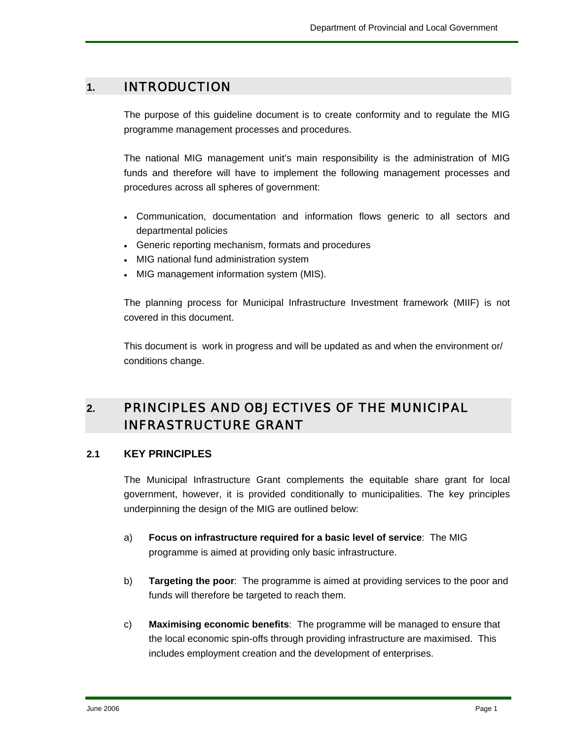#### **1.** INTRODUCTION

The purpose of this guideline document is to create conformity and to regulate the MIG programme management processes and procedures.

The national MIG management unit's main responsibility is the administration of MIG funds and therefore will have to implement the following management processes and procedures across all spheres of government:

- Communication, documentation and information flows generic to all sectors and departmental policies
- Generic reporting mechanism, formats and procedures
- MIG national fund administration system
- MIG management information system (MIS).

The planning process for Municipal Infrastructure Investment framework (MIIF) is not covered in this document.

This document is work in progress and will be updated as and when the environment or/ conditions change.

## **2.** PRINCIPLES AND OBJECTIVES OF THE MUNICIPAL INFRASTRUCTURE GRANT

#### **2.1 KEY PRINCIPLES**

The Municipal Infrastructure Grant complements the equitable share grant for local government, however, it is provided conditionally to municipalities. The key principles underpinning the design of the MIG are outlined below:

- a) **Focus on infrastructure required for a basic level of service**: The MIG programme is aimed at providing only basic infrastructure.
- b) **Targeting the poor**: The programme is aimed at providing services to the poor and funds will therefore be targeted to reach them.
- c) **Maximising economic benefits**: The programme will be managed to ensure that the local economic spin-offs through providing infrastructure are maximised. This includes employment creation and the development of enterprises.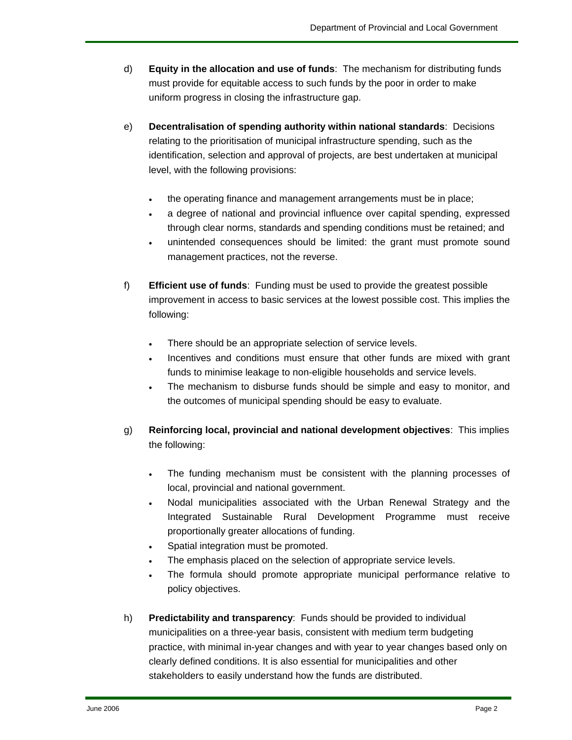- d) **Equity in the allocation and use of funds**: The mechanism for distributing funds must provide for equitable access to such funds by the poor in order to make uniform progress in closing the infrastructure gap.
- e) **Decentralisation of spending authority within national standards**: Decisions relating to the prioritisation of municipal infrastructure spending, such as the identification, selection and approval of projects, are best undertaken at municipal level, with the following provisions:
	- the operating finance and management arrangements must be in place;
	- a degree of national and provincial influence over capital spending, expressed through clear norms, standards and spending conditions must be retained; and
	- unintended consequences should be limited: the grant must promote sound management practices, not the reverse.
- f) **Efficient use of funds**: Funding must be used to provide the greatest possible improvement in access to basic services at the lowest possible cost. This implies the following:
	- There should be an appropriate selection of service levels.
	- Incentives and conditions must ensure that other funds are mixed with grant funds to minimise leakage to non-eligible households and service levels.
	- The mechanism to disburse funds should be simple and easy to monitor, and the outcomes of municipal spending should be easy to evaluate.
- g) **Reinforcing local, provincial and national development objectives**: This implies the following:
	- The funding mechanism must be consistent with the planning processes of local, provincial and national government.
	- Nodal municipalities associated with the Urban Renewal Strategy and the Integrated Sustainable Rural Development Programme must receive proportionally greater allocations of funding.
	- Spatial integration must be promoted.
	- The emphasis placed on the selection of appropriate service levels.
	- The formula should promote appropriate municipal performance relative to policy objectives.
- h) **Predictability and transparency**: Funds should be provided to individual municipalities on a three-year basis, consistent with medium term budgeting practice, with minimal in-year changes and with year to year changes based only on clearly defined conditions. It is also essential for municipalities and other stakeholders to easily understand how the funds are distributed.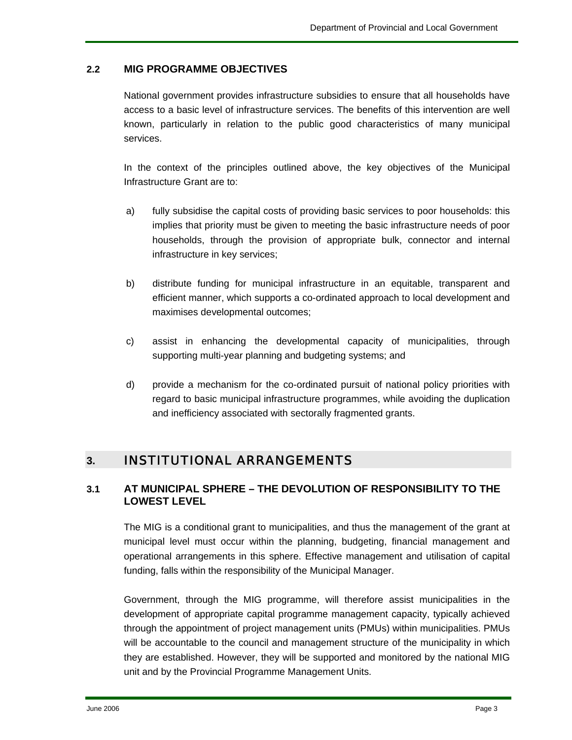#### **2.2 MIG PROGRAMME OBJECTIVES**

National government provides infrastructure subsidies to ensure that all households have access to a basic level of infrastructure services. The benefits of this intervention are well known, particularly in relation to the public good characteristics of many municipal services.

In the context of the principles outlined above, the key objectives of the Municipal Infrastructure Grant are to:

- a) fully subsidise the capital costs of providing basic services to poor households: this implies that priority must be given to meeting the basic infrastructure needs of poor households, through the provision of appropriate bulk, connector and internal infrastructure in key services;
- b) distribute funding for municipal infrastructure in an equitable, transparent and efficient manner, which supports a co-ordinated approach to local development and maximises developmental outcomes;
- c) assist in enhancing the developmental capacity of municipalities, through supporting multi-year planning and budgeting systems; and
- d) provide a mechanism for the co-ordinated pursuit of national policy priorities with regard to basic municipal infrastructure programmes, while avoiding the duplication and inefficiency associated with sectorally fragmented grants.

#### **3.** INSTITUTIONAL ARRANGEMENTS

#### **3.1 AT MUNICIPAL SPHERE – THE DEVOLUTION OF RESPONSIBILITY TO THE LOWEST LEVEL**

The MIG is a conditional grant to municipalities, and thus the management of the grant at municipal level must occur within the planning, budgeting, financial management and operational arrangements in this sphere. Effective management and utilisation of capital funding, falls within the responsibility of the Municipal Manager.

Government, through the MIG programme, will therefore assist municipalities in the development of appropriate capital programme management capacity, typically achieved through the appointment of project management units (PMUs) within municipalities. PMUs will be accountable to the council and management structure of the municipality in which they are established. However, they will be supported and monitored by the national MIG unit and by the Provincial Programme Management Units.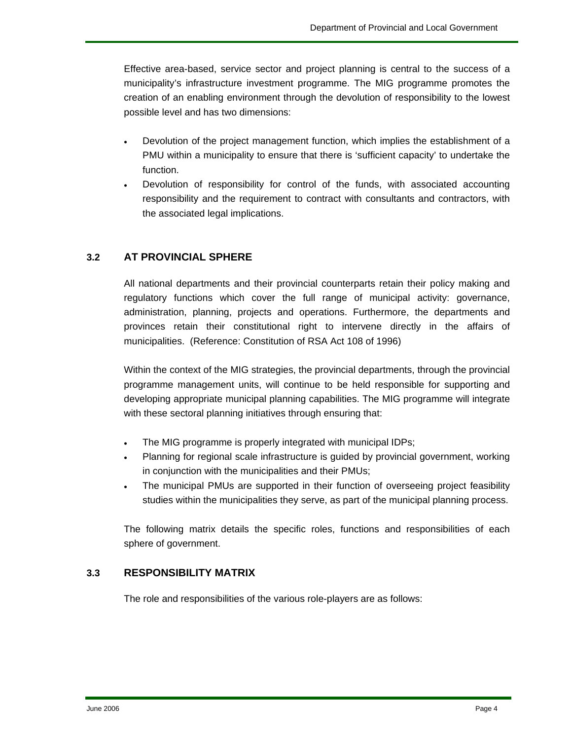Effective area-based, service sector and project planning is central to the success of a municipality's infrastructure investment programme. The MIG programme promotes the creation of an enabling environment through the devolution of responsibility to the lowest possible level and has two dimensions:

- Devolution of the project management function, which implies the establishment of a PMU within a municipality to ensure that there is 'sufficient capacity' to undertake the function.
- Devolution of responsibility for control of the funds, with associated accounting responsibility and the requirement to contract with consultants and contractors, with the associated legal implications.

#### **3.2 AT PROVINCIAL SPHERE**

All national departments and their provincial counterparts retain their policy making and regulatory functions which cover the full range of municipal activity: governance, administration, planning, projects and operations. Furthermore, the departments and provinces retain their constitutional right to intervene directly in the affairs of municipalities. (Reference: Constitution of RSA Act 108 of 1996)

Within the context of the MIG strategies, the provincial departments, through the provincial programme management units, will continue to be held responsible for supporting and developing appropriate municipal planning capabilities. The MIG programme will integrate with these sectoral planning initiatives through ensuring that:

- The MIG programme is properly integrated with municipal IDPs;
- Planning for regional scale infrastructure is guided by provincial government, working in conjunction with the municipalities and their PMUs;
- The municipal PMUs are supported in their function of overseeing project feasibility studies within the municipalities they serve, as part of the municipal planning process.

The following matrix details the specific roles, functions and responsibilities of each sphere of government.

#### **3.3 RESPONSIBILITY MATRIX**

The role and responsibilities of the various role-players are as follows: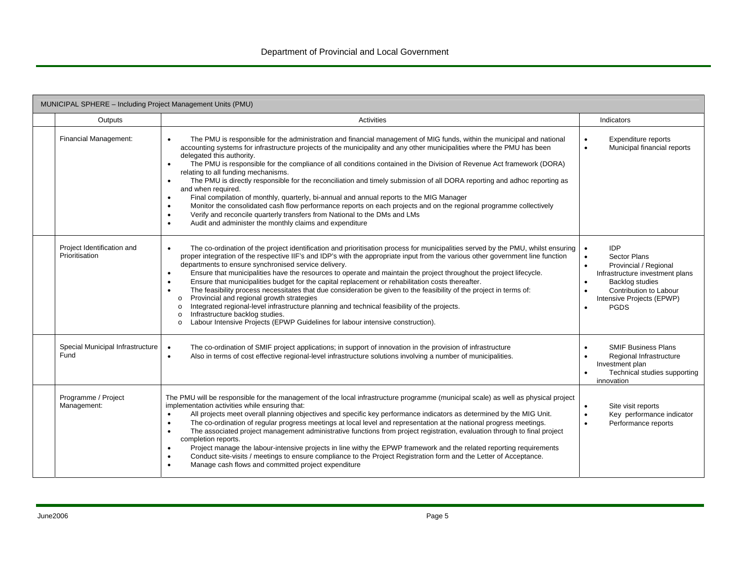| MUNICIPAL SPHERE - Including Project Management Units (PMU) |                                                                                                                                                                                                                                                                                                                                                                                                                                                                                                                                                                                                                                                                                                                                                                                                                                                                                                                                                                                                                                                       |                                                                                                                                                                                                                                                         |  |  |  |
|-------------------------------------------------------------|-------------------------------------------------------------------------------------------------------------------------------------------------------------------------------------------------------------------------------------------------------------------------------------------------------------------------------------------------------------------------------------------------------------------------------------------------------------------------------------------------------------------------------------------------------------------------------------------------------------------------------------------------------------------------------------------------------------------------------------------------------------------------------------------------------------------------------------------------------------------------------------------------------------------------------------------------------------------------------------------------------------------------------------------------------|---------------------------------------------------------------------------------------------------------------------------------------------------------------------------------------------------------------------------------------------------------|--|--|--|
| Outputs                                                     | Activities                                                                                                                                                                                                                                                                                                                                                                                                                                                                                                                                                                                                                                                                                                                                                                                                                                                                                                                                                                                                                                            | Indicators                                                                                                                                                                                                                                              |  |  |  |
| Financial Management:                                       | The PMU is responsible for the administration and financial management of MIG funds, within the municipal and national<br>$\bullet$<br>accounting systems for infrastructure projects of the municipality and any other municipalities where the PMU has been<br>delegated this authority.<br>The PMU is responsible for the compliance of all conditions contained in the Division of Revenue Act framework (DORA)<br>$\bullet$<br>relating to all funding mechanisms.<br>The PMU is directly responsible for the reconciliation and timely submission of all DORA reporting and adhoc reporting as<br>$\bullet$<br>and when required.<br>Final compilation of monthly, quarterly, bi-annual and annual reports to the MIG Manager<br>$\bullet$<br>Monitor the consolidated cash flow performance reports on each projects and on the regional programme collectively<br>$\bullet$<br>Verify and reconcile quarterly transfers from National to the DMs and LMs<br>$\bullet$<br>Audit and administer the monthly claims and expenditure<br>$\bullet$ | Expenditure reports<br>$\bullet$<br>Municipal financial reports<br>$\bullet$                                                                                                                                                                            |  |  |  |
| Project Identification and<br>Prioritisation                | The co-ordination of the project identification and prioritisation process for municipalities served by the PMU, whilst ensuring<br>proper integration of the respective IIF's and IDP's with the appropriate input from the various other government line function<br>departments to ensure synchronised service delivery.<br>Ensure that municipalities have the resources to operate and maintain the project throughout the project lifecycle.<br>$\bullet$<br>Ensure that municipalities budget for the capital replacement or rehabilitation costs thereafter.<br>$\bullet$<br>The feasibility process necessitates that due consideration be given to the feasibility of the project in terms of:<br>$\bullet$<br>Provincial and regional growth strategies<br>$\circ$<br>Integrated regional-level infrastructure planning and technical feasibility of the projects.<br>$\Omega$<br>Infrastructure backlog studies.<br>$\circ$<br>Labour Intensive Projects (EPWP Guidelines for labour intensive construction).<br>$\Omega$                 | <b>IDP</b><br>$\bullet$<br><b>Sector Plans</b><br>$\bullet$<br>Provincial / Regional<br>$\bullet$<br>Infrastructure investment plans<br>Backlog studies<br>$\bullet$<br>Contribution to Labour<br>$\bullet$<br>Intensive Projects (EPWP)<br><b>PGDS</b> |  |  |  |
| Special Municipal Infrastructure<br>Fund                    | The co-ordination of SMIF project applications; in support of innovation in the provision of infrastructure<br>$\bullet$<br>Also in terms of cost effective regional-level infrastructure solutions involving a number of municipalities.<br>$\bullet$                                                                                                                                                                                                                                                                                                                                                                                                                                                                                                                                                                                                                                                                                                                                                                                                | <b>SMIF Business Plans</b><br>$\bullet$<br>Regional Infrastructure<br>$\bullet$<br>Investment plan<br>Technical studies supporting<br>$\bullet$<br>innovation                                                                                           |  |  |  |
| Programme / Project<br>Management:                          | The PMU will be responsible for the management of the local infrastructure programme (municipal scale) as well as physical project<br>implementation activities while ensuring that:<br>All projects meet overall planning objectives and specific key performance indicators as determined by the MIG Unit.<br>$\bullet$<br>The co-ordination of regular progress meetings at local level and representation at the national progress meetings.<br>$\bullet$<br>The associated project management administrative functions from project registration, evaluation through to final project<br>completion reports.<br>Project manage the labour-intensive projects in line withy the EPWP framework and the related reporting requirements<br>$\bullet$<br>Conduct site-visits / meetings to ensure compliance to the Project Registration form and the Letter of Acceptance.<br>Manage cash flows and committed project expenditure<br>$\bullet$                                                                                                      | Site visit reports<br>$\bullet$<br>Key performance indicator<br>$\bullet$<br>$\bullet$<br>Performance reports                                                                                                                                           |  |  |  |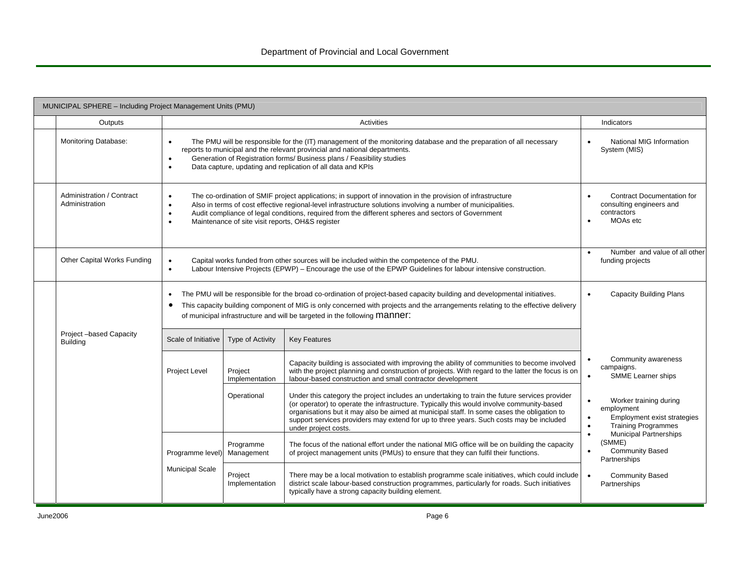| MUNICIPAL SPHERE - Including Project Management Units (PMU) |                                     |                                                                                                                                                                                                                                                                                                                                                                                         |                                                                                                                                                                                                                                                                                                                                                                                                             |           |                                                                                                   |  |  |
|-------------------------------------------------------------|-------------------------------------|-----------------------------------------------------------------------------------------------------------------------------------------------------------------------------------------------------------------------------------------------------------------------------------------------------------------------------------------------------------------------------------------|-------------------------------------------------------------------------------------------------------------------------------------------------------------------------------------------------------------------------------------------------------------------------------------------------------------------------------------------------------------------------------------------------------------|-----------|---------------------------------------------------------------------------------------------------|--|--|
| Outputs                                                     |                                     |                                                                                                                                                                                                                                                                                                                                                                                         | Activities                                                                                                                                                                                                                                                                                                                                                                                                  |           | Indicators                                                                                        |  |  |
| Monitoring Database:                                        |                                     | The PMU will be responsible for the (IT) management of the monitoring database and the preparation of all necessary<br>reports to municipal and the relevant provincial and national departments.<br>Generation of Registration forms/ Business plans / Feasibility studies<br>Data capture, updating and replication of all data and KPIs                                              |                                                                                                                                                                                                                                                                                                                                                                                                             |           |                                                                                                   |  |  |
| Administration / Contract<br>Administration                 | $\bullet$<br>$\bullet$<br>$\bullet$ | The co-ordination of SMIF project applications; in support of innovation in the provision of infrastructure<br>Also in terms of cost effective regional-level infrastructure solutions involving a number of municipalities.<br>Audit compliance of legal conditions, required from the different spheres and sectors of Government<br>Maintenance of site visit reports, OH&S register |                                                                                                                                                                                                                                                                                                                                                                                                             |           |                                                                                                   |  |  |
| Other Capital Works Funding                                 | $\bullet$                           |                                                                                                                                                                                                                                                                                                                                                                                         | Capital works funded from other sources will be included within the competence of the PMU.<br>Labour Intensive Projects (EPWP) - Encourage the use of the EPWP Guidelines for labour intensive construction.                                                                                                                                                                                                | $\bullet$ | Number and value of all other<br>funding projects                                                 |  |  |
|                                                             |                                     |                                                                                                                                                                                                                                                                                                                                                                                         | The PMU will be responsible for the broad co-ordination of project-based capacity building and developmental initiatives.<br>This capacity building component of MIG is only concerned with projects and the arrangements relating to the effective delivery<br>of municipal infrastructure and will be targeted in the following Manner:                                                                   |           | <b>Capacity Building Plans</b>                                                                    |  |  |
| Project-based Capacity<br><b>Building</b>                   | Scale of Initiative                 | Type of Activity                                                                                                                                                                                                                                                                                                                                                                        | <b>Key Features</b>                                                                                                                                                                                                                                                                                                                                                                                         |           |                                                                                                   |  |  |
|                                                             | <b>Project Level</b>                | Project<br>Implementation                                                                                                                                                                                                                                                                                                                                                               | Capacity building is associated with improving the ability of communities to become involved<br>with the project planning and construction of projects. With regard to the latter the focus is on<br>labour-based construction and small contractor development                                                                                                                                             | $\bullet$ | Community awareness<br>campaigns.<br>SMME Learner ships                                           |  |  |
|                                                             |                                     | Operational                                                                                                                                                                                                                                                                                                                                                                             | Under this category the project includes an undertaking to train the future services provider<br>(or operator) to operate the infrastructure. Typically this would involve community-based<br>organisations but it may also be aimed at municipal staff. In some cases the obligation to<br>support services providers may extend for up to three years. Such costs may be included<br>under project costs. | $\bullet$ | Worker training during<br>employment<br>Employment exist strategies<br><b>Training Programmes</b> |  |  |
|                                                             | Programme level)                    | Programme<br>Management                                                                                                                                                                                                                                                                                                                                                                 | The focus of the national effort under the national MIG office will be on building the capacity<br>of project management units (PMUs) to ensure that they can fulfil their functions.                                                                                                                                                                                                                       |           | Municipal Partnerships<br>(SMME)<br><b>Community Based</b><br>Partnerships                        |  |  |
|                                                             | <b>Municipal Scale</b>              | Project<br>Implementation                                                                                                                                                                                                                                                                                                                                                               | There may be a local motivation to establish programme scale initiatives, which could include<br>district scale labour-based construction programmes, particularly for roads. Such initiatives<br>typically have a strong capacity building element.                                                                                                                                                        |           | <b>Community Based</b><br>Partnerships                                                            |  |  |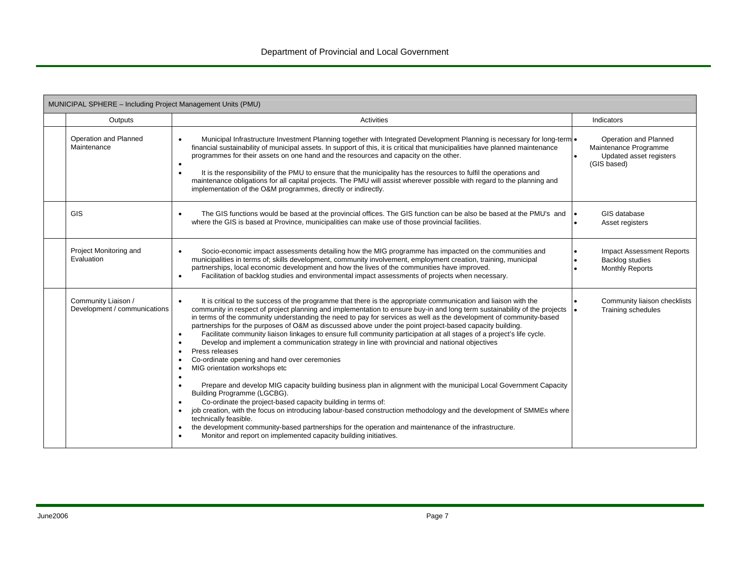| MUNICIPAL SPHERE - Including Project Management Units (PMU) |                                                     |                                                                                                                                                                                                                                                                                                                                                                                                                                                                                                                                                                                                                                                                                                                                                                                                                                                                                                                                                                                                                                                                                                                                                                                                                                                                                                                                                                                                                                                                                          |                                                                                          |  |  |
|-------------------------------------------------------------|-----------------------------------------------------|------------------------------------------------------------------------------------------------------------------------------------------------------------------------------------------------------------------------------------------------------------------------------------------------------------------------------------------------------------------------------------------------------------------------------------------------------------------------------------------------------------------------------------------------------------------------------------------------------------------------------------------------------------------------------------------------------------------------------------------------------------------------------------------------------------------------------------------------------------------------------------------------------------------------------------------------------------------------------------------------------------------------------------------------------------------------------------------------------------------------------------------------------------------------------------------------------------------------------------------------------------------------------------------------------------------------------------------------------------------------------------------------------------------------------------------------------------------------------------------|------------------------------------------------------------------------------------------|--|--|
|                                                             | Outputs                                             | Activities                                                                                                                                                                                                                                                                                                                                                                                                                                                                                                                                                                                                                                                                                                                                                                                                                                                                                                                                                                                                                                                                                                                                                                                                                                                                                                                                                                                                                                                                               | Indicators                                                                               |  |  |
|                                                             | Operation and Planned<br>Maintenance                | Municipal Infrastructure Investment Planning together with Integrated Development Planning is necessary for long-term .<br>financial sustainability of municipal assets. In support of this, it is critical that municipalities have planned maintenance<br>programmes for their assets on one hand and the resources and capacity on the other.<br>$\bullet$<br>It is the responsibility of the PMU to ensure that the municipality has the resources to fulfil the operations and<br>$\bullet$<br>maintenance obligations for all capital projects. The PMU will assist wherever possible with regard to the planning and<br>implementation of the O&M programmes, directly or indirectly.                                                                                                                                                                                                                                                                                                                                                                                                                                                                                                                                                                                                                                                                                                                                                                                             | Operation and Planned<br>Maintenance Programme<br>Updated asset registers<br>(GIS based) |  |  |
|                                                             | <b>GIS</b>                                          | The GIS functions would be based at the provincial offices. The GIS function can be also be based at the PMU's and<br>$\bullet$<br>where the GIS is based at Province, municipalities can make use of those provincial facilities.                                                                                                                                                                                                                                                                                                                                                                                                                                                                                                                                                                                                                                                                                                                                                                                                                                                                                                                                                                                                                                                                                                                                                                                                                                                       | GIS database<br>Asset registers                                                          |  |  |
|                                                             | Project Monitoring and<br>Evaluation                | Socio-economic impact assessments detailing how the MIG programme has impacted on the communities and<br>municipalities in terms of; skills development, community involvement, employment creation, training, municipal<br>partnerships, local economic development and how the lives of the communities have improved.<br>Facilitation of backlog studies and environmental impact assessments of projects when necessary.<br>$\bullet$                                                                                                                                                                                                                                                                                                                                                                                                                                                                                                                                                                                                                                                                                                                                                                                                                                                                                                                                                                                                                                                | <b>Impact Assessment Reports</b><br>Backlog studies<br><b>Monthly Reports</b>            |  |  |
|                                                             | Community Liaison /<br>Development / communications | It is critical to the success of the programme that there is the appropriate communication and liaison with the<br>$\bullet$<br>community in respect of project planning and implementation to ensure buy-in and long term sustainability of the projects<br>in terms of the community understanding the need to pay for services as well as the development of community-based<br>partnerships for the purposes of O&M as discussed above under the point project-based capacity building.<br>Facilitate community liaison linkages to ensure full community participation at all stages of a project's life cycle.<br>$\bullet$<br>Develop and implement a communication strategy in line with provincial and national objectives<br>Press releases<br>$\bullet$<br>Co-ordinate opening and hand over ceremonies<br>$\bullet$<br>MIG orientation workshops etc<br>$\bullet$<br>٠<br>Prepare and develop MIG capacity building business plan in alignment with the municipal Local Government Capacity<br>Building Programme (LGCBG).<br>Co-ordinate the project-based capacity building in terms of:<br>$\bullet$<br>job creation, with the focus on introducing labour-based construction methodology and the development of SMMEs where<br>$\bullet$<br>technically feasible.<br>the development community-based partnerships for the operation and maintenance of the infrastructure.<br>$\bullet$<br>Monitor and report on implemented capacity building initiatives.<br>$\bullet$ | Community liaison checklists<br>$\bullet$<br>Training schedules                          |  |  |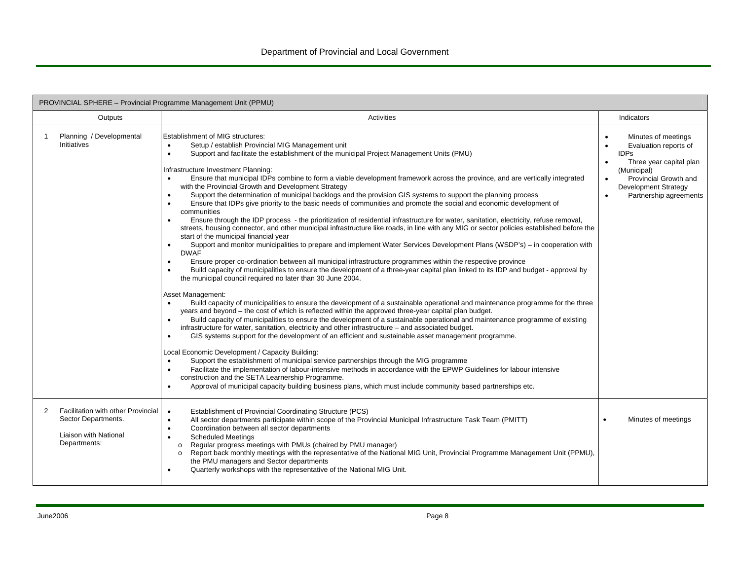| PROVINCIAL SPHERE - Provincial Programme Management Unit (PPMU) |                                                                                                    |                                                                                                                                                                                                                                                                                                                                                                                                                                                                                                                                                                                                                                                                                                                                                                                                                                                                                                                                                                                                                                                                                                                                                                                                                                                                                                                                                                                                                                                                                                                                                                                                                                                                                                                                                                                                                                                                                                                                                                                                                                                                                                                                                                                                                                                                                                                                                                                                                                                                                                                                                                                   |                                                  |                                                                                                                                                                                  |  |
|-----------------------------------------------------------------|----------------------------------------------------------------------------------------------------|-----------------------------------------------------------------------------------------------------------------------------------------------------------------------------------------------------------------------------------------------------------------------------------------------------------------------------------------------------------------------------------------------------------------------------------------------------------------------------------------------------------------------------------------------------------------------------------------------------------------------------------------------------------------------------------------------------------------------------------------------------------------------------------------------------------------------------------------------------------------------------------------------------------------------------------------------------------------------------------------------------------------------------------------------------------------------------------------------------------------------------------------------------------------------------------------------------------------------------------------------------------------------------------------------------------------------------------------------------------------------------------------------------------------------------------------------------------------------------------------------------------------------------------------------------------------------------------------------------------------------------------------------------------------------------------------------------------------------------------------------------------------------------------------------------------------------------------------------------------------------------------------------------------------------------------------------------------------------------------------------------------------------------------------------------------------------------------------------------------------------------------------------------------------------------------------------------------------------------------------------------------------------------------------------------------------------------------------------------------------------------------------------------------------------------------------------------------------------------------------------------------------------------------------------------------------------------------|--------------------------------------------------|----------------------------------------------------------------------------------------------------------------------------------------------------------------------------------|--|
|                                                                 | Outputs                                                                                            | <b>Activities</b>                                                                                                                                                                                                                                                                                                                                                                                                                                                                                                                                                                                                                                                                                                                                                                                                                                                                                                                                                                                                                                                                                                                                                                                                                                                                                                                                                                                                                                                                                                                                                                                                                                                                                                                                                                                                                                                                                                                                                                                                                                                                                                                                                                                                                                                                                                                                                                                                                                                                                                                                                                 |                                                  | Indicators                                                                                                                                                                       |  |
| -1                                                              | Planning / Developmental<br>Initiatives                                                            | Establishment of MIG structures:<br>Setup / establish Provincial MIG Management unit<br>$\bullet$<br>Support and facilitate the establishment of the municipal Project Management Units (PMU)<br>$\bullet$<br>Infrastructure Investment Planning:<br>Ensure that municipal IDPs combine to form a viable development framework across the province, and are vertically integrated<br>with the Provincial Growth and Development Strategy<br>Support the determination of municipal backlogs and the provision GIS systems to support the planning process<br>Ensure that IDPs give priority to the basic needs of communities and promote the social and economic development of<br>communities<br>Ensure through the IDP process - the prioritization of residential infrastructure for water, sanitation, electricity, refuse removal,<br>streets, housing connector, and other municipal infrastructure like roads, in line with any MIG or sector policies established before the<br>start of the municipal financial year<br>Support and monitor municipalities to prepare and implement Water Services Development Plans (WSDP's) – in cooperation with<br><b>DWAF</b><br>Ensure proper co-ordination between all municipal infrastructure programmes within the respective province<br>$\bullet$<br>Build capacity of municipalities to ensure the development of a three-year capital plan linked to its IDP and budget - approval by<br>the municipal council required no later than 30 June 2004.<br>Asset Management:<br>Build capacity of municipalities to ensure the development of a sustainable operational and maintenance programme for the three<br>years and beyond – the cost of which is reflected within the approved three-year capital plan budget.<br>Build capacity of municipalities to ensure the development of a sustainable operational and maintenance programme of existing<br>infrastructure for water, sanitation, electricity and other infrastructure - and associated budget.<br>GIS systems support for the development of an efficient and sustainable asset management programme.<br>Local Economic Development / Capacity Building:<br>Support the establishment of municipal service partnerships through the MIG programme<br>Facilitate the implementation of labour-intensive methods in accordance with the EPWP Guidelines for labour intensive<br>$\bullet$<br>construction and the SETA Learnership Programme.<br>Approval of municipal capacity building business plans, which must include community based partnerships etc. | $\bullet$<br>$\bullet$<br>$\bullet$<br>$\bullet$ | Minutes of meetings<br>Evaluation reports of<br><b>IDPs</b><br>Three year capital plan<br>(Municipal)<br>Provincial Growth and<br>Development Strategy<br>Partnership agreements |  |
| 2                                                               | Facilitation with other Provincial<br>Sector Departments.<br>Liaison with National<br>Departments: | Establishment of Provincial Coordinating Structure (PCS)<br>$\bullet$<br>All sector departments participate within scope of the Provincial Municipal Infrastructure Task Team (PMITT)<br>$\bullet$<br>Coordination between all sector departments<br>$\bullet$<br><b>Scheduled Meetings</b><br>$\bullet$<br>Regular progress meetings with PMUs (chaired by PMU manager)<br>$\circ$<br>Report back monthly meetings with the representative of the National MIG Unit, Provincial Programme Management Unit (PPMU),<br>$\circ$<br>the PMU managers and Sector departments<br>Quarterly workshops with the representative of the National MIG Unit.                                                                                                                                                                                                                                                                                                                                                                                                                                                                                                                                                                                                                                                                                                                                                                                                                                                                                                                                                                                                                                                                                                                                                                                                                                                                                                                                                                                                                                                                                                                                                                                                                                                                                                                                                                                                                                                                                                                                 |                                                  | Minutes of meetings                                                                                                                                                              |  |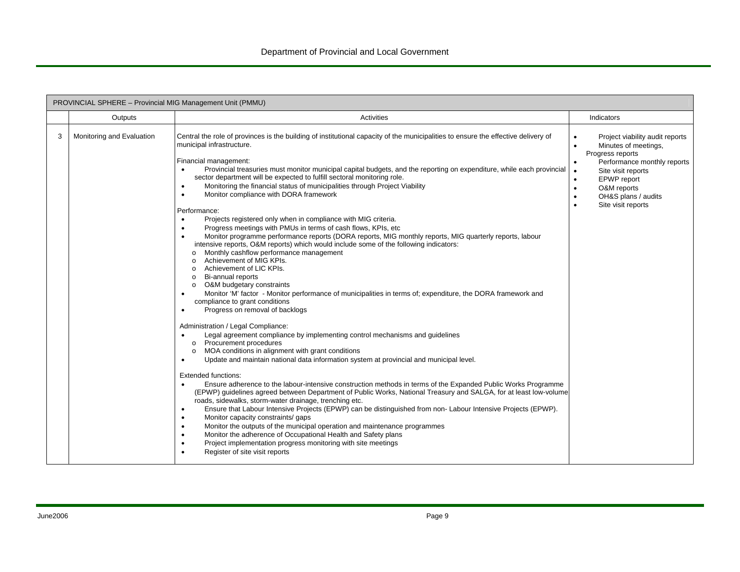|   | PROVINCIAL SPHERE - Provincial MIG Management Unit (PMMU) |                                                                                                                                                                                                                                                                                                                                                                                                                                                                                                                                                                                                                                                                                                                                                                                                                                                                                                                                                                                                                                                                                                                                                                                                                                                                                                                                                                                                                                                                                                                                                                                                                                                                                                                                                                                                                                                                                                                                                                                                                                                                                                                                                                                                                                                                                                                                                                                                                                                                                                                               |                                                                                                                                                                                                                                              |  |  |  |  |
|---|-----------------------------------------------------------|-------------------------------------------------------------------------------------------------------------------------------------------------------------------------------------------------------------------------------------------------------------------------------------------------------------------------------------------------------------------------------------------------------------------------------------------------------------------------------------------------------------------------------------------------------------------------------------------------------------------------------------------------------------------------------------------------------------------------------------------------------------------------------------------------------------------------------------------------------------------------------------------------------------------------------------------------------------------------------------------------------------------------------------------------------------------------------------------------------------------------------------------------------------------------------------------------------------------------------------------------------------------------------------------------------------------------------------------------------------------------------------------------------------------------------------------------------------------------------------------------------------------------------------------------------------------------------------------------------------------------------------------------------------------------------------------------------------------------------------------------------------------------------------------------------------------------------------------------------------------------------------------------------------------------------------------------------------------------------------------------------------------------------------------------------------------------------------------------------------------------------------------------------------------------------------------------------------------------------------------------------------------------------------------------------------------------------------------------------------------------------------------------------------------------------------------------------------------------------------------------------------------------------|----------------------------------------------------------------------------------------------------------------------------------------------------------------------------------------------------------------------------------------------|--|--|--|--|
|   | Outputs                                                   | Activities                                                                                                                                                                                                                                                                                                                                                                                                                                                                                                                                                                                                                                                                                                                                                                                                                                                                                                                                                                                                                                                                                                                                                                                                                                                                                                                                                                                                                                                                                                                                                                                                                                                                                                                                                                                                                                                                                                                                                                                                                                                                                                                                                                                                                                                                                                                                                                                                                                                                                                                    | Indicators                                                                                                                                                                                                                                   |  |  |  |  |
| 3 | Monitoring and Evaluation                                 | Central the role of provinces is the building of institutional capacity of the municipalities to ensure the effective delivery of<br>municipal infrastructure.<br>Financial management:<br>Provincial treasuries must monitor municipal capital budgets, and the reporting on expenditure, while each provincial<br>$\bullet$<br>sector department will be expected to fulfill sectoral monitoring role.<br>Monitoring the financial status of municipalities through Project Viability<br>٠<br>Monitor compliance with DORA framework<br>$\bullet$<br>Performance:<br>Projects registered only when in compliance with MIG criteria.<br>$\bullet$<br>Progress meetings with PMUs in terms of cash flows, KPIs, etc.<br>$\bullet$<br>Monitor programme performance reports (DORA reports, MIG monthly reports, MIG quarterly reports, labour<br>$\bullet$<br>intensive reports, O&M reports) which would include some of the following indicators:<br>Monthly cashflow performance management<br>$\Omega$<br>Achievement of MIG KPIs.<br>$\Omega$<br>Achievement of LIC KPIs.<br>$\circ$<br>Bi-annual reports<br>$\circ$<br>O&M budgetary constraints<br>$\circ$<br>Monitor 'M' factor - Monitor performance of municipalities in terms of; expenditure, the DORA framework and<br>٠<br>compliance to grant conditions<br>Progress on removal of backlogs<br>٠<br>Administration / Legal Compliance:<br>Legal agreement compliance by implementing control mechanisms and guidelines<br>$\bullet$<br>o Procurement procedures<br>MOA conditions in alignment with grant conditions<br>$\circ$<br>Update and maintain national data information system at provincial and municipal level.<br>$\bullet$<br><b>Extended functions:</b><br>Ensure adherence to the labour-intensive construction methods in terms of the Expanded Public Works Programme<br>$\bullet$<br>(EPWP) guidelines agreed between Department of Public Works, National Treasury and SALGA, for at least low-volume<br>roads, sidewalks, storm-water drainage, trenching etc.<br>Ensure that Labour Intensive Projects (EPWP) can be distinguished from non-Labour Intensive Projects (EPWP).<br>٠<br>Monitor capacity constraints/ gaps<br>$\bullet$<br>Monitor the outputs of the municipal operation and maintenance programmes<br>$\bullet$<br>Monitor the adherence of Occupational Health and Safety plans<br>$\bullet$<br>Project implementation progress monitoring with site meetings<br>$\bullet$<br>Register of site visit reports<br>$\bullet$ | Project viability audit reports<br>Minutes of meetings,<br>Progress reports<br>Performance monthly reports<br>Site visit reports<br>$\bullet$<br><b>EPWP</b> report<br>O&M reports<br>$\bullet$<br>OH&S plans / audits<br>Site visit reports |  |  |  |  |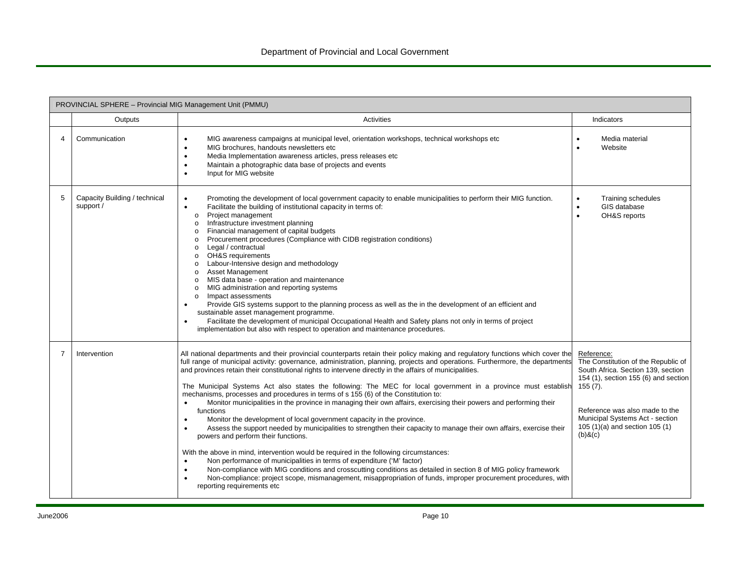|   | PROVINCIAL SPHERE - Provincial MIG Management Unit (PMMU) |                                                                                                                                                                                                                                                                                                                                                                                                                                                                                                                                                                                                                                                                                                                                                                                                                                                                                                                                                                                                                                                                                                                                                                                                                                                                                                                                                                                                                                                                        |                                                                                                                                                                                                                                                                       |  |  |  |
|---|-----------------------------------------------------------|------------------------------------------------------------------------------------------------------------------------------------------------------------------------------------------------------------------------------------------------------------------------------------------------------------------------------------------------------------------------------------------------------------------------------------------------------------------------------------------------------------------------------------------------------------------------------------------------------------------------------------------------------------------------------------------------------------------------------------------------------------------------------------------------------------------------------------------------------------------------------------------------------------------------------------------------------------------------------------------------------------------------------------------------------------------------------------------------------------------------------------------------------------------------------------------------------------------------------------------------------------------------------------------------------------------------------------------------------------------------------------------------------------------------------------------------------------------------|-----------------------------------------------------------------------------------------------------------------------------------------------------------------------------------------------------------------------------------------------------------------------|--|--|--|
|   | Outputs                                                   | Activities                                                                                                                                                                                                                                                                                                                                                                                                                                                                                                                                                                                                                                                                                                                                                                                                                                                                                                                                                                                                                                                                                                                                                                                                                                                                                                                                                                                                                                                             | Indicators                                                                                                                                                                                                                                                            |  |  |  |
| 4 | Communication                                             | MIG awareness campaigns at municipal level, orientation workshops, technical workshops etc<br>$\bullet$<br>MIG brochures, handouts newsletters etc<br>$\bullet$<br>Media Implementation awareness articles, press releases etc<br>$\bullet$<br>Maintain a photographic data base of projects and events<br>$\bullet$<br>Input for MIG website<br>$\bullet$                                                                                                                                                                                                                                                                                                                                                                                                                                                                                                                                                                                                                                                                                                                                                                                                                                                                                                                                                                                                                                                                                                             | Media material<br>$\bullet$<br>Website<br>$\bullet$                                                                                                                                                                                                                   |  |  |  |
| 5 | Capacity Building / technical<br>support /                | Promoting the development of local government capacity to enable municipalities to perform their MIG function.<br>$\bullet$<br>Facilitate the building of institutional capacity in terms of:<br>$\bullet$<br>Project management<br>$\circ$<br>Infrastructure investment planning<br>$\circ$<br>o Financial management of capital budgets<br>o Procurement procedures (Compliance with CIDB registration conditions)<br>Legal / contractual<br>$\circ$<br>OH&S requirements<br>$\circ$<br>Labour-Intensive design and methodology<br>$\circ$<br><b>Asset Management</b><br>$\circ$<br>MIS data base - operation and maintenance<br>o<br>MIG administration and reporting systems<br>$\circ$<br>Impact assessments<br>$\circ$<br>Provide GIS systems support to the planning process as well as the in the development of an efficient and<br>$\bullet$<br>sustainable asset management programme.<br>Facilitate the development of municipal Occupational Health and Safety plans not only in terms of project<br>$\bullet$<br>implementation but also with respect to operation and maintenance procedures.                                                                                                                                                                                                                                                                                                                                                           | Training schedules<br>$\bullet$<br>GIS database<br>$\bullet$<br>OH&S reports<br>$\bullet$                                                                                                                                                                             |  |  |  |
| 7 | Intervention                                              | All national departments and their provincial counterparts retain their policy making and regulatory functions which cover the<br>full range of municipal activity: governance, administration, planning, projects and operations. Furthermore, the departments<br>and provinces retain their constitutional rights to intervene directly in the affairs of municipalities.<br>The Municipal Systems Act also states the following: The MEC for local government in a province must establish<br>mechanisms, processes and procedures in terms of s 155 (6) of the Constitution to:<br>Monitor municipalities in the province in managing their own affairs, exercising their powers and performing their<br>$\bullet$<br>functions<br>Monitor the development of local government capacity in the province.<br>$\bullet$<br>Assess the support needed by municipalities to strengthen their capacity to manage their own affairs, exercise their<br>$\bullet$<br>powers and perform their functions.<br>With the above in mind, intervention would be required in the following circumstances:<br>Non performance of municipalities in terms of expenditure ('M' factor)<br>$\bullet$<br>Non-compliance with MIG conditions and crosscutting conditions as detailed in section 8 of MIG policy framework<br>$\bullet$<br>Non-compliance: project scope, mismanagement, misappropriation of funds, improper procurement procedures, with<br>reporting requirements etc | Reference:<br>The Constitution of the Republic of<br>South Africa. Section 139, section<br>154 (1), section 155 (6) and section<br>$155(7)$ .<br>Reference was also made to the<br>Municipal Systems Act - section<br>105 (1)(a) and section 105 (1)<br>$(b)$ & $(c)$ |  |  |  |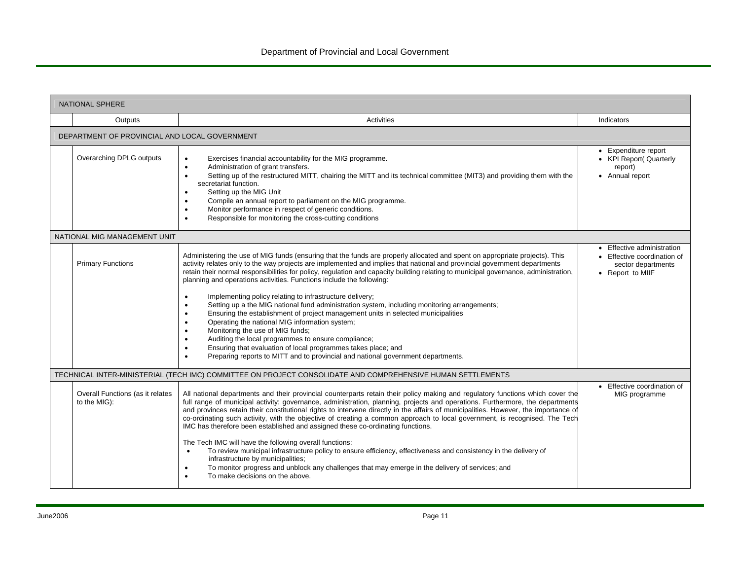|                                               | <b>NATIONAL SPHERE</b>                           |                                                                                                                                                                                                                                                                                                                                                                                                                                                                                                                                                                                                                                                                                                                                                                                                                                                                                                                                                                                                                                                                                                                                    |                                                                                                     |  |  |  |
|-----------------------------------------------|--------------------------------------------------|------------------------------------------------------------------------------------------------------------------------------------------------------------------------------------------------------------------------------------------------------------------------------------------------------------------------------------------------------------------------------------------------------------------------------------------------------------------------------------------------------------------------------------------------------------------------------------------------------------------------------------------------------------------------------------------------------------------------------------------------------------------------------------------------------------------------------------------------------------------------------------------------------------------------------------------------------------------------------------------------------------------------------------------------------------------------------------------------------------------------------------|-----------------------------------------------------------------------------------------------------|--|--|--|
|                                               | Outputs                                          | Activities                                                                                                                                                                                                                                                                                                                                                                                                                                                                                                                                                                                                                                                                                                                                                                                                                                                                                                                                                                                                                                                                                                                         | Indicators                                                                                          |  |  |  |
| DEPARTMENT OF PROVINCIAL AND LOCAL GOVERNMENT |                                                  |                                                                                                                                                                                                                                                                                                                                                                                                                                                                                                                                                                                                                                                                                                                                                                                                                                                                                                                                                                                                                                                                                                                                    |                                                                                                     |  |  |  |
|                                               | Overarching DPLG outputs                         | Exercises financial accountability for the MIG programme.<br>$\bullet$<br>Administration of grant transfers.<br>$\bullet$<br>Setting up of the restructured MITT, chairing the MITT and its technical committee (MIT3) and providing them with the<br>$\bullet$<br>secretariat function.<br>Setting up the MIG Unit<br>$\bullet$<br>Compile an annual report to parliament on the MIG programme.<br>$\bullet$<br>Monitor performance in respect of generic conditions.<br>$\bullet$<br>Responsible for monitoring the cross-cutting conditions<br>$\bullet$                                                                                                                                                                                                                                                                                                                                                                                                                                                                                                                                                                        | • Expenditure report<br>• KPI Report( Quarterly<br>report)<br>• Annual report                       |  |  |  |
|                                               | NATIONAL MIG MANAGEMENT UNIT                     |                                                                                                                                                                                                                                                                                                                                                                                                                                                                                                                                                                                                                                                                                                                                                                                                                                                                                                                                                                                                                                                                                                                                    |                                                                                                     |  |  |  |
|                                               | <b>Primary Functions</b>                         | Administering the use of MIG funds (ensuring that the funds are properly allocated and spent on appropriate projects). This<br>activity relates only to the way projects are implemented and implies that national and provincial government departments<br>retain their normal responsibilities for policy, regulation and capacity building relating to municipal governance, administration,<br>planning and operations activities. Functions include the following:<br>Implementing policy relating to infrastructure delivery;<br>$\bullet$<br>Setting up a the MIG national fund administration system, including monitoring arrangements;<br>$\bullet$<br>Ensuring the establishment of project management units in selected municipalities<br>$\bullet$<br>Operating the national MIG information system;<br>$\bullet$<br>Monitoring the use of MIG funds;<br>$\bullet$<br>Auditing the local programmes to ensure compliance;<br>$\bullet$<br>Ensuring that evaluation of local programmes takes place; and<br>$\bullet$<br>Preparing reports to MITT and to provincial and national government departments.<br>$\bullet$ | • Effective administration<br>• Effective coordination of<br>sector departments<br>• Report to MIIF |  |  |  |
|                                               |                                                  | TECHNICAL INTER-MINISTERIAL (TECH IMC) COMMITTEE ON PROJECT CONSOLIDATE AND COMPREHENSIVE HUMAN SETTLEMENTS                                                                                                                                                                                                                                                                                                                                                                                                                                                                                                                                                                                                                                                                                                                                                                                                                                                                                                                                                                                                                        |                                                                                                     |  |  |  |
|                                               | Overall Functions (as it relates<br>to the MIG): | All national departments and their provincial counterparts retain their policy making and regulatory functions which cover the<br>full range of municipal activity: governance, administration, planning, projects and operations. Furthermore, the departments<br>and provinces retain their constitutional rights to intervene directly in the affairs of municipalities. However, the importance of<br>co-ordinating such activity, with the objective of creating a common approach to local government, is recognised. The Tech<br>IMC has therefore been established and assigned these co-ordinating functions.<br>The Tech IMC will have the following overall functions:<br>To review municipal infrastructure policy to ensure efficiency, effectiveness and consistency in the delivery of<br>$\bullet$<br>infrastructure by municipalities;<br>To monitor progress and unblock any challenges that may emerge in the delivery of services; and<br>$\bullet$<br>To make decisions on the above.<br>$\bullet$                                                                                                            | • Effective coordination of<br>MIG programme                                                        |  |  |  |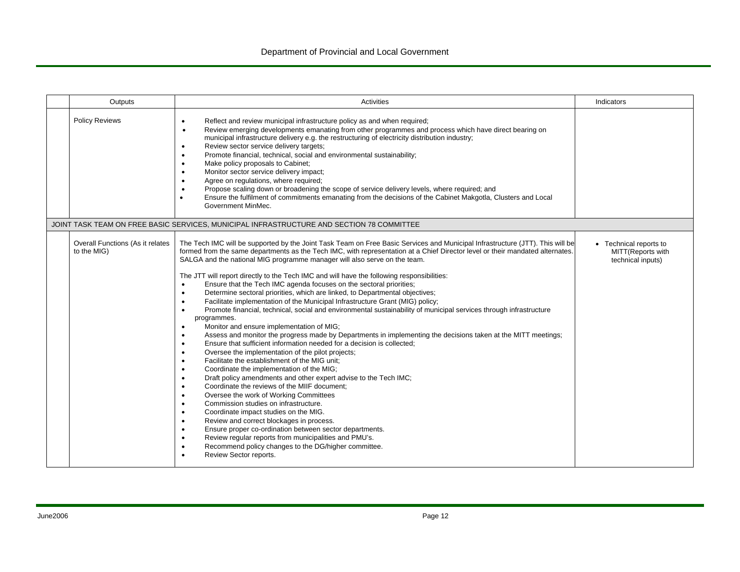#### Department of Provincial and Local Government

| Outputs                                         | Activities                                                                                                                                                                                                                                                                                                                                                                                                                                                                                                                                                                                                                                                                                                                                                                                                                                                                                                                                                                                                                                                                                                                                                                                                                                                                                                                                                                                                                                                                                                                                                                                                                                                                                                                                                                                                                                                                                                                                                                              | Indicators                                                       |
|-------------------------------------------------|-----------------------------------------------------------------------------------------------------------------------------------------------------------------------------------------------------------------------------------------------------------------------------------------------------------------------------------------------------------------------------------------------------------------------------------------------------------------------------------------------------------------------------------------------------------------------------------------------------------------------------------------------------------------------------------------------------------------------------------------------------------------------------------------------------------------------------------------------------------------------------------------------------------------------------------------------------------------------------------------------------------------------------------------------------------------------------------------------------------------------------------------------------------------------------------------------------------------------------------------------------------------------------------------------------------------------------------------------------------------------------------------------------------------------------------------------------------------------------------------------------------------------------------------------------------------------------------------------------------------------------------------------------------------------------------------------------------------------------------------------------------------------------------------------------------------------------------------------------------------------------------------------------------------------------------------------------------------------------------------|------------------------------------------------------------------|
| <b>Policy Reviews</b>                           | Reflect and review municipal infrastructure policy as and when required;<br>$\bullet$<br>Review emerging developments emanating from other programmes and process which have direct bearing on<br>$\bullet$<br>municipal infrastructure delivery e.g. the restructuring of electricity distribution industry;<br>Review sector service delivery targets;<br>$\bullet$<br>Promote financial, technical, social and environmental sustainability;<br>$\bullet$<br>Make policy proposals to Cabinet;<br>$\bullet$<br>Monitor sector service delivery impact;<br>$\bullet$<br>Agree on regulations, where required;<br>$\bullet$<br>Propose scaling down or broadening the scope of service delivery levels, where required; and<br>$\bullet$<br>Ensure the fulfilment of commitments emanating from the decisions of the Cabinet Makgotla, Clusters and Local<br>$\bullet$<br>Government MinMec.                                                                                                                                                                                                                                                                                                                                                                                                                                                                                                                                                                                                                                                                                                                                                                                                                                                                                                                                                                                                                                                                                           |                                                                  |
|                                                 | JOINT TASK TEAM ON FREE BASIC SERVICES, MUNICIPAL INFRASTRUCTURE AND SECTION 78 COMMITTEE                                                                                                                                                                                                                                                                                                                                                                                                                                                                                                                                                                                                                                                                                                                                                                                                                                                                                                                                                                                                                                                                                                                                                                                                                                                                                                                                                                                                                                                                                                                                                                                                                                                                                                                                                                                                                                                                                               |                                                                  |
| Overall Functions (As it relates<br>to the MIG) | The Tech IMC will be supported by the Joint Task Team on Free Basic Services and Municipal Infrastructure (JTT). This will be<br>formed from the same departments as the Tech IMC, with representation at a Chief Director level or their mandated alternates.<br>SALGA and the national MIG programme manager will also serve on the team.<br>The JTT will report directly to the Tech IMC and will have the following responsibilities:<br>Ensure that the Tech IMC agenda focuses on the sectoral priorities;<br>$\bullet$<br>Determine sectoral priorities, which are linked, to Departmental objectives;<br>$\bullet$<br>Facilitate implementation of the Municipal Infrastructure Grant (MIG) policy;<br>$\bullet$<br>Promote financial, technical, social and environmental sustainability of municipal services through infrastructure<br>$\bullet$<br>programmes.<br>Monitor and ensure implementation of MIG;<br>$\bullet$<br>Assess and monitor the progress made by Departments in implementing the decisions taken at the MITT meetings;<br>$\bullet$<br>Ensure that sufficient information needed for a decision is collected:<br>$\bullet$<br>Oversee the implementation of the pilot projects;<br>$\bullet$<br>Facilitate the establishment of the MIG unit;<br>$\bullet$<br>Coordinate the implementation of the MIG;<br>$\bullet$<br>Draft policy amendments and other expert advise to the Tech IMC;<br>$\bullet$<br>Coordinate the reviews of the MIIF document;<br>$\bullet$<br>Oversee the work of Working Committees<br>$\bullet$<br>Commission studies on infrastructure.<br>$\bullet$<br>Coordinate impact studies on the MIG.<br>$\bullet$<br>Review and correct blockages in process.<br>$\bullet$<br>Ensure proper co-ordination between sector departments.<br>$\bullet$<br>Review regular reports from municipalities and PMU's.<br>$\bullet$<br>Recommend policy changes to the DG/higher committee.<br>$\bullet$<br>Review Sector reports.<br>$\bullet$ | • Technical reports to<br>MITT(Reports with<br>technical inputs) |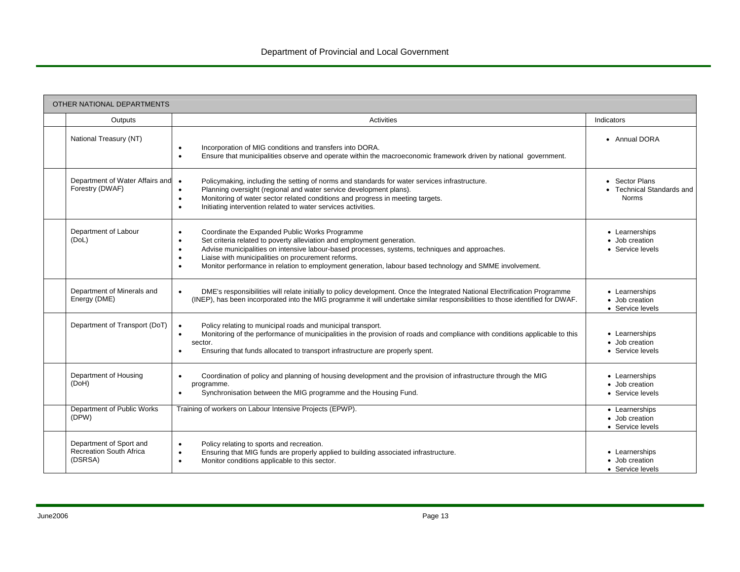| OTHER NATIONAL DEPARTMENTS                                           |                                                                                                                                                                                                                                                                                                                                                                                                                                                              |                                                             |  |  |  |
|----------------------------------------------------------------------|--------------------------------------------------------------------------------------------------------------------------------------------------------------------------------------------------------------------------------------------------------------------------------------------------------------------------------------------------------------------------------------------------------------------------------------------------------------|-------------------------------------------------------------|--|--|--|
| Outputs                                                              | Activities                                                                                                                                                                                                                                                                                                                                                                                                                                                   | Indicators                                                  |  |  |  |
| National Treasury (NT)                                               | Incorporation of MIG conditions and transfers into DORA.<br>$\bullet$<br>Ensure that municipalities observe and operate within the macroeconomic framework driven by national government.<br>$\bullet$                                                                                                                                                                                                                                                       | • Annual DORA                                               |  |  |  |
| Department of Water Affairs and<br>Forestry (DWAF)                   | Policymaking, including the setting of norms and standards for water services infrastructure.<br>$\bullet$<br>Planning oversight (regional and water service development plans).<br>$\bullet$<br>Monitoring of water sector related conditions and progress in meeting targets.<br>$\bullet$<br>Initiating intervention related to water services activities.<br>$\bullet$                                                                                   | • Sector Plans<br>• Technical Standards and<br><b>Norms</b> |  |  |  |
| Department of Labour<br>(DoL)                                        | Coordinate the Expanded Public Works Programme<br>$\bullet$<br>Set criteria related to poverty alleviation and employment generation.<br>$\bullet$<br>Advise municipalities on intensive labour-based processes, systems, techniques and approaches.<br>$\bullet$<br>Liaise with municipalities on procurement reforms.<br>$\bullet$<br>Monitor performance in relation to employment generation, labour based technology and SMME involvement.<br>$\bullet$ | • Learnerships<br>• Job creation<br>• Service levels        |  |  |  |
| Department of Minerals and<br>Energy (DME)                           | DME's responsibilities will relate initially to policy development. Once the Integrated National Electrification Programme<br>$\bullet$<br>(INEP), has been incorporated into the MIG programme it will undertake similar responsibilities to those identified for DWAF.                                                                                                                                                                                     | • Learnerships<br>• Job creation<br>• Service levels        |  |  |  |
| Department of Transport (DoT)                                        | Policy relating to municipal roads and municipal transport.<br>Monitoring of the performance of municipalities in the provision of roads and compliance with conditions applicable to this<br>$\bullet$<br>sector.<br>Ensuring that funds allocated to transport infrastructure are properly spent.<br>$\bullet$                                                                                                                                             | • Learnerships<br>• Job creation<br>• Service levels        |  |  |  |
| Department of Housing<br>(DoH)                                       | Coordination of policy and planning of housing development and the provision of infrastructure through the MIG<br>$\bullet$<br>programme.<br>Synchronisation between the MIG programme and the Housing Fund.<br>$\bullet$                                                                                                                                                                                                                                    | • Learnerships<br>• Job creation<br>• Service levels        |  |  |  |
| Department of Public Works<br>(DPW)                                  | Training of workers on Labour Intensive Projects (EPWP).                                                                                                                                                                                                                                                                                                                                                                                                     | • Learnerships<br>• Job creation<br>• Service levels        |  |  |  |
| Department of Sport and<br><b>Recreation South Africa</b><br>(DSRSA) | Policy relating to sports and recreation.<br>$\bullet$<br>Ensuring that MIG funds are properly applied to building associated infrastructure.<br>$\bullet$<br>Monitor conditions applicable to this sector.<br>$\bullet$                                                                                                                                                                                                                                     | • Learnerships<br>• Job creation<br>• Service levels        |  |  |  |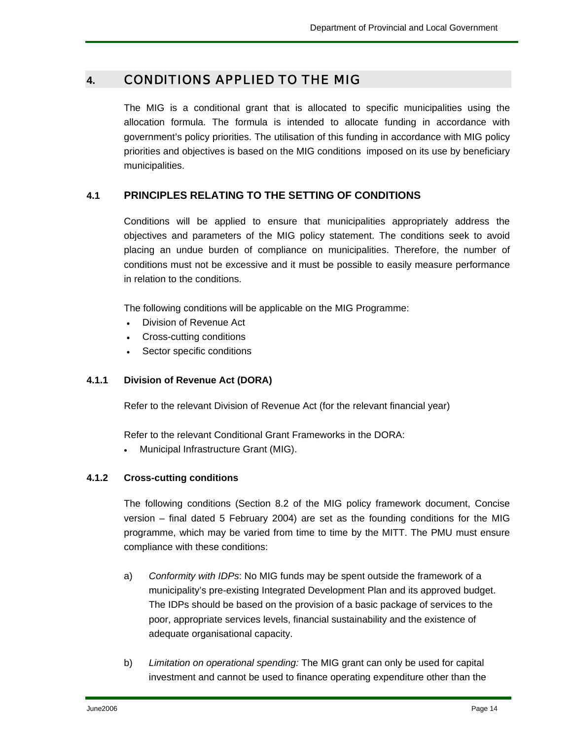#### **4.** CONDITIONS APPLIED TO THE MIG

The MIG is a conditional grant that is allocated to specific municipalities using the allocation formula. The formula is intended to allocate funding in accordance with government's policy priorities. The utilisation of this funding in accordance with MIG policy priorities and objectives is based on the MIG conditions imposed on its use by beneficiary municipalities.

#### **4.1 PRINCIPLES RELATING TO THE SETTING OF CONDITIONS**

Conditions will be applied to ensure that municipalities appropriately address the objectives and parameters of the MIG policy statement. The conditions seek to avoid placing an undue burden of compliance on municipalities. Therefore, the number of conditions must not be excessive and it must be possible to easily measure performance in relation to the conditions.

The following conditions will be applicable on the MIG Programme:

- Division of Revenue Act
- Cross-cutting conditions
- Sector specific conditions

#### **4.1.1 Division of Revenue Act (DORA)**

Refer to the relevant Division of Revenue Act (for the relevant financial year)

Refer to the relevant Conditional Grant Frameworks in the DORA:

• Municipal Infrastructure Grant (MIG).

#### **4.1.2 Cross-cutting conditions**

The following conditions (Section 8.2 of the MIG policy framework document, Concise version – final dated 5 February 2004) are set as the founding conditions for the MIG programme, which may be varied from time to time by the MITT. The PMU must ensure compliance with these conditions:

- a) *Conformity with IDPs*: No MIG funds may be spent outside the framework of a municipality's pre-existing Integrated Development Plan and its approved budget. The IDPs should be based on the provision of a basic package of services to the poor, appropriate services levels, financial sustainability and the existence of adequate organisational capacity.
- b) *Limitation on operational spending:* The MIG grant can only be used for capital investment and cannot be used to finance operating expenditure other than the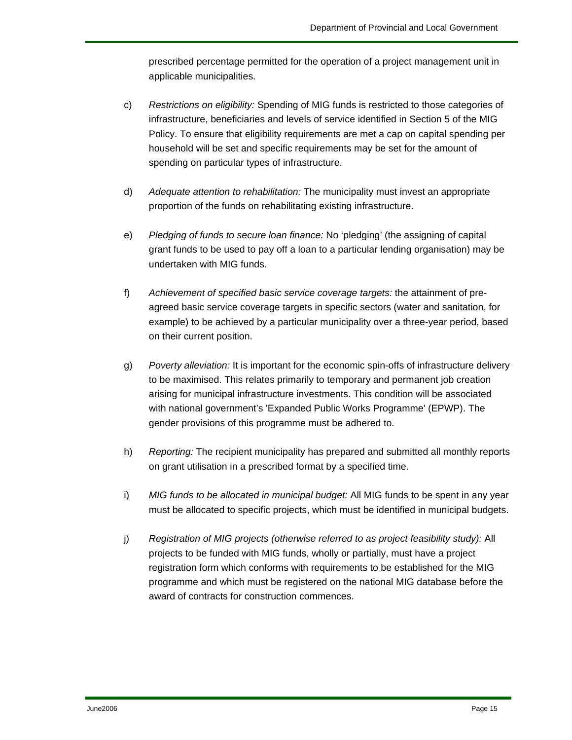prescribed percentage permitted for the operation of a project management unit in applicable municipalities.

- c) *Restrictions on eligibility:* Spending of MIG funds is restricted to those categories of infrastructure, beneficiaries and levels of service identified in Section 5 of the MIG Policy. To ensure that eligibility requirements are met a cap on capital spending per household will be set and specific requirements may be set for the amount of spending on particular types of infrastructure.
- d) *Adequate attention to rehabilitation:* The municipality must invest an appropriate proportion of the funds on rehabilitating existing infrastructure.
- e) *Pledging of funds to secure loan finance:* No 'pledging' (the assigning of capital grant funds to be used to pay off a loan to a particular lending organisation) may be undertaken with MIG funds.
- f) *Achievement of specified basic service coverage targets:* the attainment of preagreed basic service coverage targets in specific sectors (water and sanitation, for example) to be achieved by a particular municipality over a three-year period, based on their current position.
- g) *Poverty alleviation:* It is important for the economic spin-offs of infrastructure delivery to be maximised. This relates primarily to temporary and permanent job creation arising for municipal infrastructure investments. This condition will be associated with national government's 'Expanded Public Works Programme' (EPWP). The gender provisions of this programme must be adhered to.
- h) *Reporting:* The recipient municipality has prepared and submitted all monthly reports on grant utilisation in a prescribed format by a specified time.
- i) *MIG funds to be allocated in municipal budget:* All MIG funds to be spent in any year must be allocated to specific projects, which must be identified in municipal budgets.
- j) *Registration of MIG projects (otherwise referred to as project feasibility study):* All projects to be funded with MIG funds, wholly or partially, must have a project registration form which conforms with requirements to be established for the MIG programme and which must be registered on the national MIG database before the award of contracts for construction commences.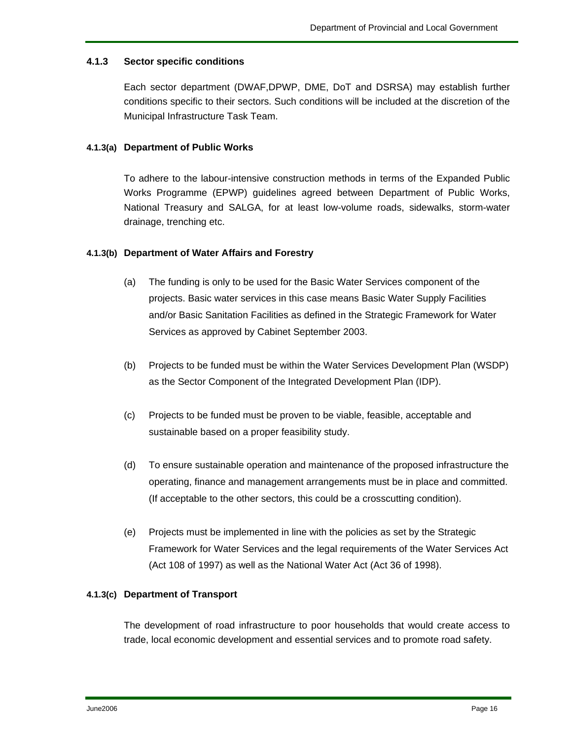#### **4.1.3 Sector specific conditions**

Each sector department (DWAF,DPWP, DME, DoT and DSRSA) may establish further conditions specific to their sectors. Such conditions will be included at the discretion of the Municipal Infrastructure Task Team.

#### **4.1.3(a) Department of Public Works**

To adhere to the labour-intensive construction methods in terms of the Expanded Public Works Programme (EPWP) guidelines agreed between Department of Public Works, National Treasury and SALGA, for at least low-volume roads, sidewalks, storm-water drainage, trenching etc.

#### **4.1.3(b) Department of Water Affairs and Forestry**

- (a) The funding is only to be used for the Basic Water Services component of the projects. Basic water services in this case means Basic Water Supply Facilities and/or Basic Sanitation Facilities as defined in the Strategic Framework for Water Services as approved by Cabinet September 2003.
- (b) Projects to be funded must be within the Water Services Development Plan (WSDP) as the Sector Component of the Integrated Development Plan (IDP).
- (c) Projects to be funded must be proven to be viable, feasible, acceptable and sustainable based on a proper feasibility study.
- (d) To ensure sustainable operation and maintenance of the proposed infrastructure the operating, finance and management arrangements must be in place and committed. (If acceptable to the other sectors, this could be a crosscutting condition).
- (e) Projects must be implemented in line with the policies as set by the Strategic Framework for Water Services and the legal requirements of the Water Services Act (Act 108 of 1997) as well as the National Water Act (Act 36 of 1998).

#### **4.1.3(c) Department of Transport**

The development of road infrastructure to poor households that would create access to trade, local economic development and essential services and to promote road safety.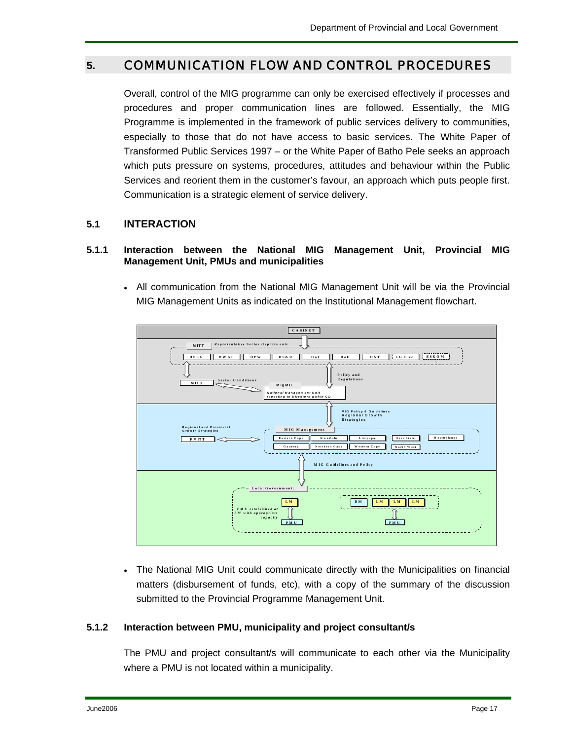## **5.** COMMUNICATION FLOW AND CONTROL PROCEDURES

Overall, control of the MIG programme can only be exercised effectively if processes and procedures and proper communication lines are followed. Essentially, the MIG Programme is implemented in the framework of public services delivery to communities, especially to those that do not have access to basic services. The White Paper of Transformed Public Services 1997 – or the White Paper of Batho Pele seeks an approach which puts pressure on systems, procedures, attitudes and behaviour within the Public Services and reorient them in the customer's favour, an approach which puts people first. Communication is a strategic element of service delivery.

#### **5.1 INTERACTION**

#### **5.1.1 Interaction between the National MIG Management Unit, Provincial MIG Management Unit, PMUs and municipalities**

• All communication from the National MIG Management Unit will be via the Provincial MIG Management Units as indicated on the Institutional Management flowchart.



• The National MIG Unit could communicate directly with the Municipalities on financial matters (disbursement of funds, etc), with a copy of the summary of the discussion submitted to the Provincial Programme Management Unit.

#### **5.1.2 Interaction between PMU, municipality and project consultant/s**

The PMU and project consultant/s will communicate to each other via the Municipality where a PMU is not located within a municipality.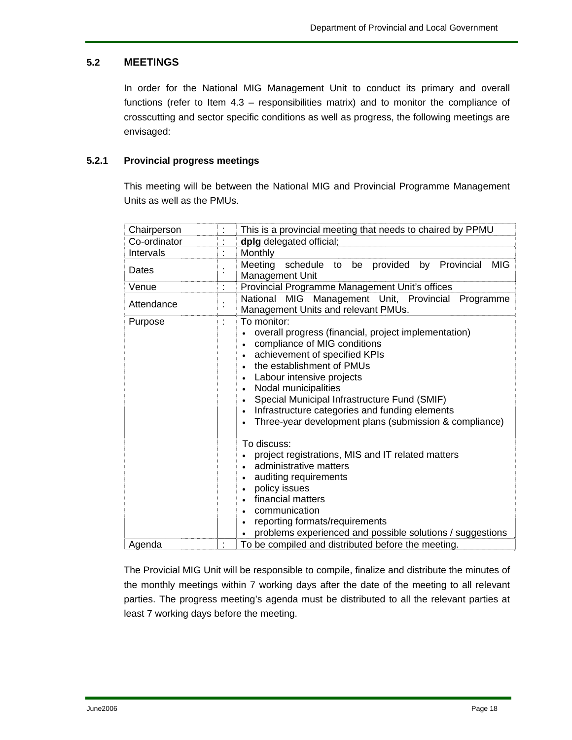#### **5.2 MEETINGS**

In order for the National MIG Management Unit to conduct its primary and overall functions (refer to Item 4.3 – responsibilities matrix) and to monitor the compliance of crosscutting and sector specific conditions as well as progress, the following meetings are envisaged:

#### **5.2.1 Provincial progress meetings**

This meeting will be between the National MIG and Provincial Programme Management Units as well as the PMUs.

| Chairperson  |    | This is a provincial meeting that needs to chaired by PPMU                                                                                                                                                                                                                                                                                                                                                                                                                                                                                                                                                                                                                                |  |  |  |
|--------------|----|-------------------------------------------------------------------------------------------------------------------------------------------------------------------------------------------------------------------------------------------------------------------------------------------------------------------------------------------------------------------------------------------------------------------------------------------------------------------------------------------------------------------------------------------------------------------------------------------------------------------------------------------------------------------------------------------|--|--|--|
| Co-ordinator |    | dplg delegated official;                                                                                                                                                                                                                                                                                                                                                                                                                                                                                                                                                                                                                                                                  |  |  |  |
| Intervals    | t  | Monthly                                                                                                                                                                                                                                                                                                                                                                                                                                                                                                                                                                                                                                                                                   |  |  |  |
| Dates        |    | by Provincial<br>Meeting<br>provided<br><b>MIG</b><br>schedule<br>be<br>to<br>Management Unit                                                                                                                                                                                                                                                                                                                                                                                                                                                                                                                                                                                             |  |  |  |
| Venue        | t. | Provincial Programme Management Unit's offices                                                                                                                                                                                                                                                                                                                                                                                                                                                                                                                                                                                                                                            |  |  |  |
| Attendance   |    | National MIG Management Unit, Provincial<br>Programme<br>Management Units and relevant PMUs.                                                                                                                                                                                                                                                                                                                                                                                                                                                                                                                                                                                              |  |  |  |
| Purpose      | t  | To monitor:<br>overall progress (financial, project implementation)<br>compliance of MIG conditions<br>achievement of specified KPIs<br>the establishment of PMUs<br>Labour intensive projects<br>Nodal municipalities<br>Special Municipal Infrastructure Fund (SMIF)<br>$\bullet$<br>Infrastructure categories and funding elements<br>Three-year development plans (submission & compliance)<br>$\bullet$<br>To discuss:<br>project registrations, MIS and IT related matters<br>administrative matters<br>auditing requirements<br>policy issues<br>financial matters<br>communication<br>reporting formats/requirements<br>problems experienced and possible solutions / suggestions |  |  |  |
| Agenda       |    | To be compiled and distributed before the meeting.                                                                                                                                                                                                                                                                                                                                                                                                                                                                                                                                                                                                                                        |  |  |  |

The Provicial MIG Unit will be responsible to compile, finalize and distribute the minutes of the monthly meetings within 7 working days after the date of the meeting to all relevant parties. The progress meeting's agenda must be distributed to all the relevant parties at least 7 working days before the meeting.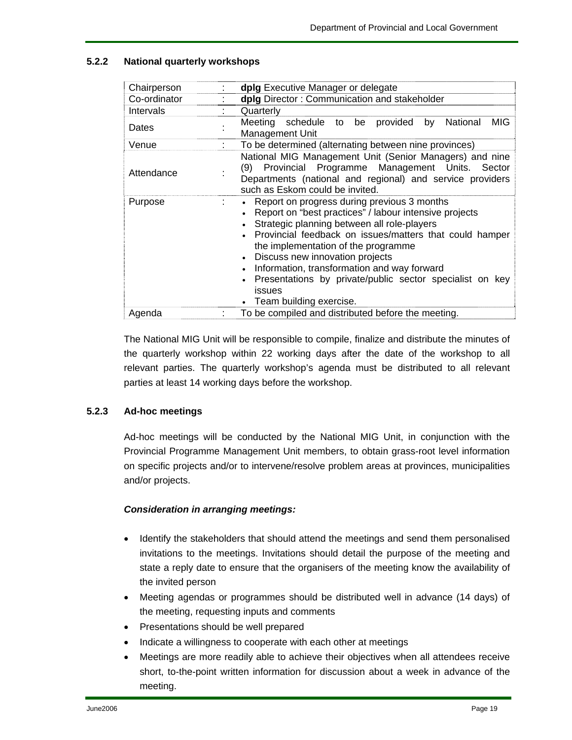#### **5.2.2 National quarterly workshops**

| Chairperson  |    | dplg Executive Manager or delegate                                                                                                                                                                                                                                                                                                                                                                                                                       |  |  |  |  |  |  |
|--------------|----|----------------------------------------------------------------------------------------------------------------------------------------------------------------------------------------------------------------------------------------------------------------------------------------------------------------------------------------------------------------------------------------------------------------------------------------------------------|--|--|--|--|--|--|
| Co-ordinator |    | dplg Director: Communication and stakeholder                                                                                                                                                                                                                                                                                                                                                                                                             |  |  |  |  |  |  |
| Intervals    |    | Quarterly                                                                                                                                                                                                                                                                                                                                                                                                                                                |  |  |  |  |  |  |
| Dates        |    | <b>MIG</b><br>Meeting<br>schedule to be<br>provided<br>National<br>by<br><b>Management Unit</b>                                                                                                                                                                                                                                                                                                                                                          |  |  |  |  |  |  |
| Venue        |    | To be determined (alternating between nine provinces)                                                                                                                                                                                                                                                                                                                                                                                                    |  |  |  |  |  |  |
| Attendance   |    | National MIG Management Unit (Senior Managers) and nine<br>Provincial Programme Management Units. Sector<br>(9)<br>Departments (national and regional) and service providers<br>such as Eskom could be invited.                                                                                                                                                                                                                                          |  |  |  |  |  |  |
| Purpose      | t. | Report on progress during previous 3 months<br>$\bullet$<br>Report on "best practices" / labour intensive projects<br>Strategic planning between all role-players<br>Provincial feedback on issues/matters that could hamper<br>the implementation of the programme<br>• Discuss new innovation projects<br>Information, transformation and way forward<br>Presentations by private/public sector specialist on key<br>issues<br>Team building exercise. |  |  |  |  |  |  |
| Agenda       |    | To be compiled and distributed before the meeting.                                                                                                                                                                                                                                                                                                                                                                                                       |  |  |  |  |  |  |

The National MIG Unit will be responsible to compile, finalize and distribute the minutes of the quarterly workshop within 22 working days after the date of the workshop to all relevant parties. The quarterly workshop's agenda must be distributed to all relevant parties at least 14 working days before the workshop.

#### **5.2.3 Ad-hoc meetings**

Ad-hoc meetings will be conducted by the National MIG Unit, in conjunction with the Provincial Programme Management Unit members, to obtain grass-root level information on specific projects and/or to intervene/resolve problem areas at provinces, municipalities and/or projects.

#### *Consideration in arranging meetings:*

- Identify the stakeholders that should attend the meetings and send them personalised invitations to the meetings. Invitations should detail the purpose of the meeting and state a reply date to ensure that the organisers of the meeting know the availability of the invited person
- Meeting agendas or programmes should be distributed well in advance (14 days) of the meeting, requesting inputs and comments
- Presentations should be well prepared
- Indicate a willingness to cooperate with each other at meetings
- Meetings are more readily able to achieve their objectives when all attendees receive short, to-the-point written information for discussion about a week in advance of the meeting.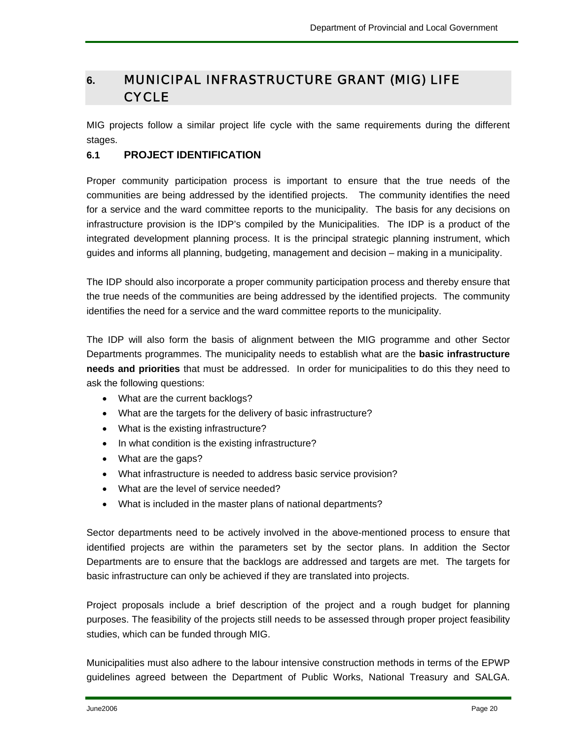## **6.** MUNICIPAL INFRASTRUCTURE GRANT (MIG) LIFE **CYCLE**

MIG projects follow a similar project life cycle with the same requirements during the different stages.

#### **6.1 PROJECT IDENTIFICATION**

Proper community participation process is important to ensure that the true needs of the communities are being addressed by the identified projects. The community identifies the need for a service and the ward committee reports to the municipality. The basis for any decisions on infrastructure provision is the IDP's compiled by the Municipalities. The IDP is a product of the integrated development planning process. It is the principal strategic planning instrument, which guides and informs all planning, budgeting, management and decision – making in a municipality.

The IDP should also incorporate a proper community participation process and thereby ensure that the true needs of the communities are being addressed by the identified projects. The community identifies the need for a service and the ward committee reports to the municipality.

The IDP will also form the basis of alignment between the MIG programme and other Sector Departments programmes. The municipality needs to establish what are the **basic infrastructure needs and priorities** that must be addressed. In order for municipalities to do this they need to ask the following questions:

- What are the current backlogs?
- What are the targets for the delivery of basic infrastructure?
- What is the existing infrastructure?
- In what condition is the existing infrastructure?
- What are the gaps?
- What infrastructure is needed to address basic service provision?
- What are the level of service needed?
- What is included in the master plans of national departments?

Sector departments need to be actively involved in the above-mentioned process to ensure that identified projects are within the parameters set by the sector plans. In addition the Sector Departments are to ensure that the backlogs are addressed and targets are met. The targets for basic infrastructure can only be achieved if they are translated into projects.

Project proposals include a brief description of the project and a rough budget for planning purposes. The feasibility of the projects still needs to be assessed through proper project feasibility studies, which can be funded through MIG.

Municipalities must also adhere to the labour intensive construction methods in terms of the EPWP guidelines agreed between the Department of Public Works, National Treasury and SALGA.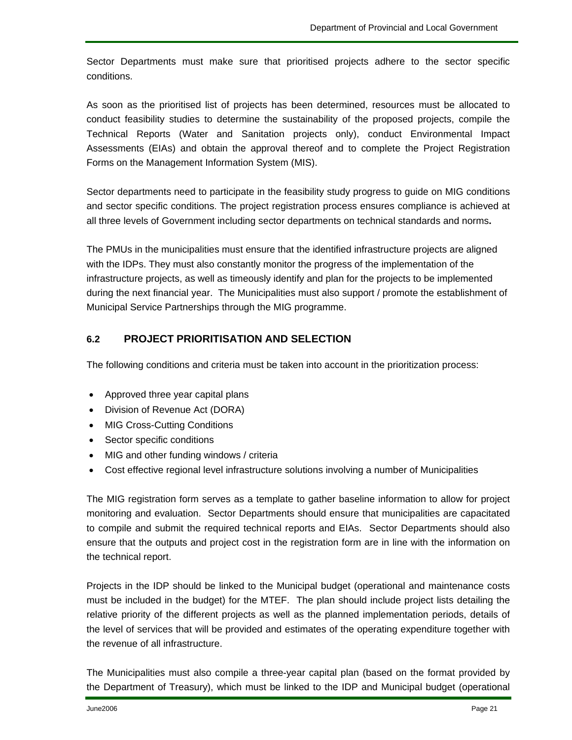Sector Departments must make sure that prioritised projects adhere to the sector specific conditions.

As soon as the prioritised list of projects has been determined, resources must be allocated to conduct feasibility studies to determine the sustainability of the proposed projects, compile the Technical Reports (Water and Sanitation projects only), conduct Environmental Impact Assessments (EIAs) and obtain the approval thereof and to complete the Project Registration Forms on the Management Information System (MIS).

Sector departments need to participate in the feasibility study progress to guide on MIG conditions and sector specific conditions. The project registration process ensures compliance is achieved at all three levels of Government including sector departments on technical standards and norms**.**

The PMUs in the municipalities must ensure that the identified infrastructure projects are aligned with the IDPs. They must also constantly monitor the progress of the implementation of the infrastructure projects, as well as timeously identify and plan for the projects to be implemented during the next financial year. The Municipalities must also support / promote the establishment of Municipal Service Partnerships through the MIG programme.

#### **6.2 PROJECT PRIORITISATION AND SELECTION**

The following conditions and criteria must be taken into account in the prioritization process:

- Approved three year capital plans
- Division of Revenue Act (DORA)
- MIG Cross-Cutting Conditions
- Sector specific conditions
- MIG and other funding windows / criteria
- Cost effective regional level infrastructure solutions involving a number of Municipalities

The MIG registration form serves as a template to gather baseline information to allow for project monitoring and evaluation. Sector Departments should ensure that municipalities are capacitated to compile and submit the required technical reports and EIAs. Sector Departments should also ensure that the outputs and project cost in the registration form are in line with the information on the technical report.

Projects in the IDP should be linked to the Municipal budget (operational and maintenance costs must be included in the budget) for the MTEF. The plan should include project lists detailing the relative priority of the different projects as well as the planned implementation periods, details of the level of services that will be provided and estimates of the operating expenditure together with the revenue of all infrastructure.

The Municipalities must also compile a three-year capital plan (based on the format provided by the Department of Treasury), which must be linked to the IDP and Municipal budget (operational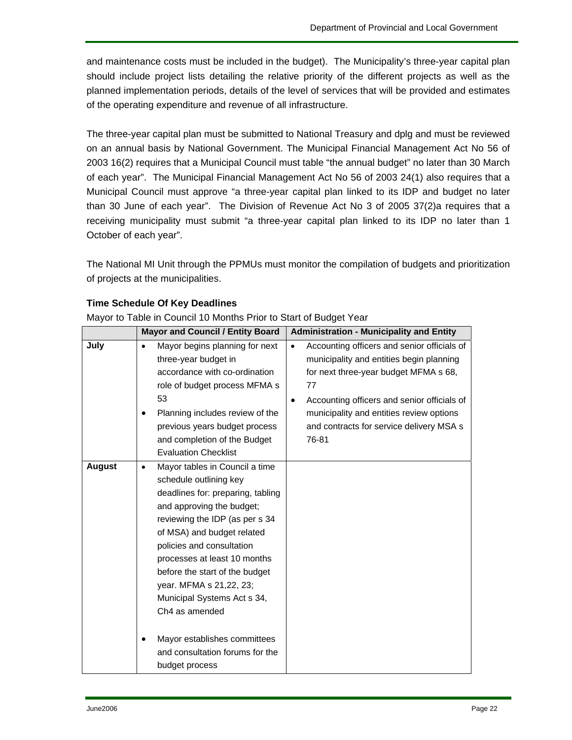and maintenance costs must be included in the budget). The Municipality's three-year capital plan should include project lists detailing the relative priority of the different projects as well as the planned implementation periods, details of the level of services that will be provided and estimates of the operating expenditure and revenue of all infrastructure.

The three-year capital plan must be submitted to National Treasury and dplg and must be reviewed on an annual basis by National Government. The Municipal Financial Management Act No 56 of 2003 16(2) requires that a Municipal Council must table "the annual budget" no later than 30 March of each year". The Municipal Financial Management Act No 56 of 2003 24(1) also requires that a Municipal Council must approve "a three-year capital plan linked to its IDP and budget no later than 30 June of each year". The Division of Revenue Act No 3 of 2005 37(2)a requires that a receiving municipality must submit "a three-year capital plan linked to its IDP no later than 1 October of each year".

The National MI Unit through the PPMUs must monitor the compilation of budgets and prioritization of projects at the municipalities.

|               | <b>Mayor and Council / Entity Board</b>                                                                                                                                                                                                                                                                                                                                                                                                                                 | <b>Administration - Municipality and Entity</b>                                                                                                                                                                                                                                                                  |
|---------------|-------------------------------------------------------------------------------------------------------------------------------------------------------------------------------------------------------------------------------------------------------------------------------------------------------------------------------------------------------------------------------------------------------------------------------------------------------------------------|------------------------------------------------------------------------------------------------------------------------------------------------------------------------------------------------------------------------------------------------------------------------------------------------------------------|
| July          | Mayor begins planning for next<br>$\bullet$<br>three-year budget in<br>accordance with co-ordination<br>role of budget process MFMA s<br>53<br>Planning includes review of the<br>$\bullet$<br>previous years budget process<br>and completion of the Budget<br><b>Evaluation Checklist</b>                                                                                                                                                                             | Accounting officers and senior officials of<br>$\bullet$<br>municipality and entities begin planning<br>for next three-year budget MFMA s 68,<br>77<br>Accounting officers and senior officials of<br>$\bullet$<br>municipality and entities review options<br>and contracts for service delivery MSA s<br>76-81 |
| <b>August</b> | Mayor tables in Council a time<br>$\bullet$<br>schedule outlining key<br>deadlines for: preparing, tabling<br>and approving the budget;<br>reviewing the IDP (as per s 34<br>of MSA) and budget related<br>policies and consultation<br>processes at least 10 months<br>before the start of the budget<br>year. MFMA s 21,22, 23;<br>Municipal Systems Act s 34,<br>Ch4 as amended<br>Mayor establishes committees<br>and consultation forums for the<br>budget process |                                                                                                                                                                                                                                                                                                                  |

#### **Time Schedule Of Key Deadlines**

Mayor to Table in Council 10 Months Prior to Start of Budget Year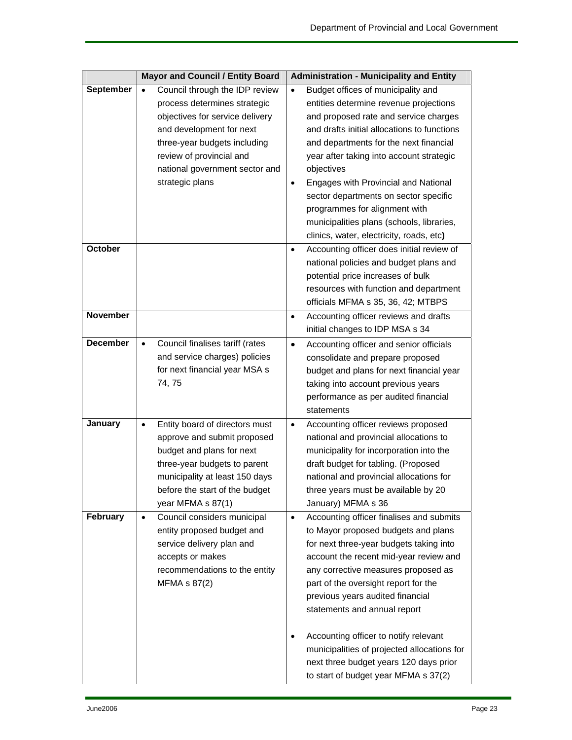|                 |           | <b>Mayor and Council / Entity Board</b>                                                                                                                     |           | <b>Administration - Municipality and Entity</b>                                                                                                                                                                                                                                                                         |
|-----------------|-----------|-------------------------------------------------------------------------------------------------------------------------------------------------------------|-----------|-------------------------------------------------------------------------------------------------------------------------------------------------------------------------------------------------------------------------------------------------------------------------------------------------------------------------|
| September       | $\bullet$ | Council through the IDP review                                                                                                                              | $\bullet$ | Budget offices of municipality and                                                                                                                                                                                                                                                                                      |
|                 |           | process determines strategic                                                                                                                                |           | entities determine revenue projections                                                                                                                                                                                                                                                                                  |
|                 |           | objectives for service delivery                                                                                                                             |           | and proposed rate and service charges                                                                                                                                                                                                                                                                                   |
|                 |           | and development for next                                                                                                                                    |           | and drafts initial allocations to functions                                                                                                                                                                                                                                                                             |
|                 |           | three-year budgets including                                                                                                                                |           | and departments for the next financial                                                                                                                                                                                                                                                                                  |
|                 |           | review of provincial and                                                                                                                                    |           | year after taking into account strategic                                                                                                                                                                                                                                                                                |
|                 |           | national government sector and                                                                                                                              |           | objectives                                                                                                                                                                                                                                                                                                              |
|                 |           | strategic plans                                                                                                                                             | $\bullet$ | Engages with Provincial and National                                                                                                                                                                                                                                                                                    |
|                 |           |                                                                                                                                                             |           | sector departments on sector specific                                                                                                                                                                                                                                                                                   |
|                 |           |                                                                                                                                                             |           | programmes for alignment with                                                                                                                                                                                                                                                                                           |
|                 |           |                                                                                                                                                             |           | municipalities plans (schools, libraries,                                                                                                                                                                                                                                                                               |
|                 |           |                                                                                                                                                             |           | clinics, water, electricity, roads, etc)                                                                                                                                                                                                                                                                                |
| October         |           |                                                                                                                                                             | $\bullet$ | Accounting officer does initial review of<br>national policies and budget plans and<br>potential price increases of bulk<br>resources with function and department<br>officials MFMA s 35, 36, 42; MTBPS                                                                                                                |
| <b>November</b> |           |                                                                                                                                                             | $\bullet$ | Accounting officer reviews and drafts<br>initial changes to IDP MSA s 34                                                                                                                                                                                                                                                |
| <b>December</b> | $\bullet$ | Council finalises tariff (rates<br>and service charges) policies<br>for next financial year MSA s<br>74, 75                                                 | $\bullet$ | Accounting officer and senior officials<br>consolidate and prepare proposed<br>budget and plans for next financial year<br>taking into account previous years<br>performance as per audited financial<br>statements                                                                                                     |
| January         | $\bullet$ | Entity board of directors must                                                                                                                              | $\bullet$ | Accounting officer reviews proposed                                                                                                                                                                                                                                                                                     |
|                 |           | approve and submit proposed                                                                                                                                 |           | national and provincial allocations to                                                                                                                                                                                                                                                                                  |
|                 |           | budget and plans for next                                                                                                                                   |           | municipality for incorporation into the                                                                                                                                                                                                                                                                                 |
|                 |           | three-year budgets to parent                                                                                                                                |           | draft budget for tabling. (Proposed                                                                                                                                                                                                                                                                                     |
|                 |           | municipality at least 150 days                                                                                                                              |           | national and provincial allocations for                                                                                                                                                                                                                                                                                 |
|                 |           | before the start of the budget                                                                                                                              |           | three years must be available by 20                                                                                                                                                                                                                                                                                     |
|                 |           | year MFMA s 87(1)                                                                                                                                           |           | January) MFMA s 36                                                                                                                                                                                                                                                                                                      |
| February        | $\bullet$ | Council considers municipal<br>entity proposed budget and<br>service delivery plan and<br>accepts or makes<br>recommendations to the entity<br>MFMA s 87(2) | $\bullet$ | Accounting officer finalises and submits<br>to Mayor proposed budgets and plans<br>for next three-year budgets taking into<br>account the recent mid-year review and<br>any corrective measures proposed as<br>part of the oversight report for the<br>previous years audited financial<br>statements and annual report |
|                 |           |                                                                                                                                                             | $\bullet$ | Accounting officer to notify relevant<br>municipalities of projected allocations for<br>next three budget years 120 days prior<br>to start of budget year MFMA s 37(2)                                                                                                                                                  |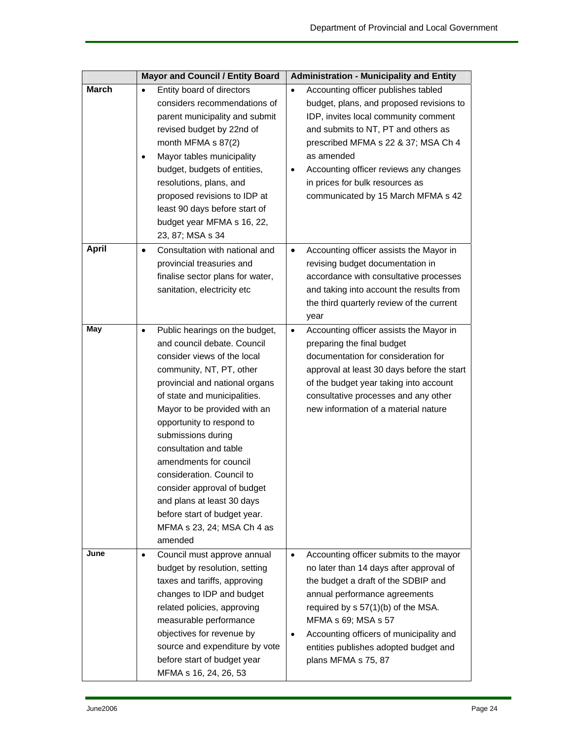|              | <b>Mayor and Council / Entity Board</b>                                                                                                                                                                                                                                                                                                                                                                                                                                                                           | <b>Administration - Municipality and Entity</b>                                                                                                                                                                                                                                                                                                                  |
|--------------|-------------------------------------------------------------------------------------------------------------------------------------------------------------------------------------------------------------------------------------------------------------------------------------------------------------------------------------------------------------------------------------------------------------------------------------------------------------------------------------------------------------------|------------------------------------------------------------------------------------------------------------------------------------------------------------------------------------------------------------------------------------------------------------------------------------------------------------------------------------------------------------------|
| <b>March</b> | Entity board of directors<br>$\bullet$<br>considers recommendations of<br>parent municipality and submit<br>revised budget by 22nd of<br>month MFMA $\frac{1}{2}$ 87(2)<br>Mayor tables municipality<br>$\bullet$<br>budget, budgets of entities,<br>resolutions, plans, and<br>proposed revisions to IDP at<br>least 90 days before start of<br>budget year MFMA s 16, 22,<br>23, 87; MSA s 34                                                                                                                   | Accounting officer publishes tabled<br>$\bullet$<br>budget, plans, and proposed revisions to<br>IDP, invites local community comment<br>and submits to NT, PT and others as<br>prescribed MFMA s 22 & 37; MSA Ch 4<br>as amended<br>Accounting officer reviews any changes<br>$\bullet$<br>in prices for bulk resources as<br>communicated by 15 March MFMA s 42 |
| <b>April</b> | Consultation with national and<br>$\bullet$<br>provincial treasuries and<br>finalise sector plans for water,<br>sanitation, electricity etc                                                                                                                                                                                                                                                                                                                                                                       | Accounting officer assists the Mayor in<br>$\bullet$<br>revising budget documentation in<br>accordance with consultative processes<br>and taking into account the results from<br>the third quarterly review of the current<br>year                                                                                                                              |
| May          | Public hearings on the budget,<br>$\bullet$<br>and council debate. Council<br>consider views of the local<br>community, NT, PT, other<br>provincial and national organs<br>of state and municipalities.<br>Mayor to be provided with an<br>opportunity to respond to<br>submissions during<br>consultation and table<br>amendments for council<br>consideration. Council to<br>consider approval of budget<br>and plans at least 30 days<br>before start of budget year.<br>MFMA s 23, 24; MSA Ch 4 as<br>amended | Accounting officer assists the Mayor in<br>$\bullet$<br>preparing the final budget<br>documentation for consideration for<br>approval at least 30 days before the start<br>of the budget year taking into account<br>consultative processes and any other<br>new information of a material nature                                                                |
| June         | Council must approve annual<br>$\bullet$<br>budget by resolution, setting<br>taxes and tariffs, approving<br>changes to IDP and budget<br>related policies, approving<br>measurable performance<br>objectives for revenue by<br>source and expenditure by vote<br>before start of budget year<br>MFMA s 16, 24, 26, 53                                                                                                                                                                                            | Accounting officer submits to the mayor<br>$\bullet$<br>no later than 14 days after approval of<br>the budget a draft of the SDBIP and<br>annual performance agreements<br>required by s 57(1)(b) of the MSA.<br>MFMA s 69; MSA s 57<br>Accounting officers of municipality and<br>٠<br>entities publishes adopted budget and<br>plans MFMA s 75, 87             |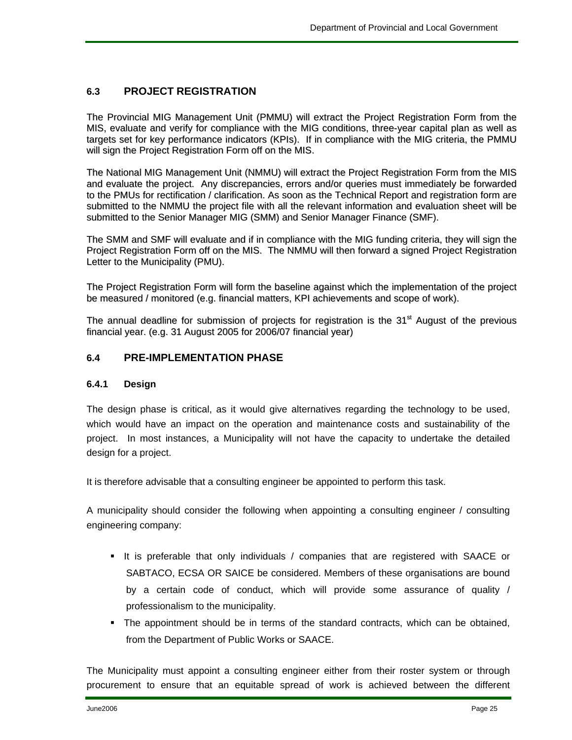#### **6.3 PROJECT REGISTRATION**

The Provincial MIG Management Unit (PMMU) will extract the Project Registration Form from the MIS, evaluate and verify for compliance with the MIG conditions, three-year capital plan as well as targets set for key performance indicators (KPIs). If in compliance with the MIG criteria, the PMMU will sign the Project Registration Form off on the MIS.

The National MIG Management Unit (NMMU) will extract the Project Registration Form from the MIS and evaluate the project. Any discrepancies, errors and/or queries must immediately be forwarded to the PMUs for rectification / clarification. As soon as the Technical Report and registration form are submitted to the NMMU the project file with all the relevant information and evaluation sheet will be submitted to the Senior Manager MIG (SMM) and Senior Manager Finance (SMF).

The SMM and SMF will evaluate and if in compliance with the MIG funding criteria, they will sign the Project Registration Form off on the MIS. The NMMU will then forward a signed Project Registration Letter to the Municipality (PMU).

The Project Registration Form will form the baseline against which the implementation of the project be measured / monitored (e.g. financial matters, KPI achievements and scope of work).

The annual deadline for submission of projects for registration is the  $31<sup>st</sup>$  August of the previous financial year. (e.g. 31 August 2005 for 2006/07 financial year)

#### **6.4 PRE-IMPLEMENTATION PHASE**

#### **6.4.1 Design**

The design phase is critical, as it would give alternatives regarding the technology to be used, which would have an impact on the operation and maintenance costs and sustainability of the project. In most instances, a Municipality will not have the capacity to undertake the detailed design for a project.

It is therefore advisable that a consulting engineer be appointed to perform this task.

A municipality should consider the following when appointing a consulting engineer / consulting engineering company:

- It is preferable that only individuals / companies that are registered with SAACE or SABTACO, ECSA OR SAICE be considered. Members of these organisations are bound by a certain code of conduct, which will provide some assurance of quality / professionalism to the municipality.
- The appointment should be in terms of the standard contracts, which can be obtained, from the Department of Public Works or SAACE.

The Municipality must appoint a consulting engineer either from their roster system or through procurement to ensure that an equitable spread of work is achieved between the different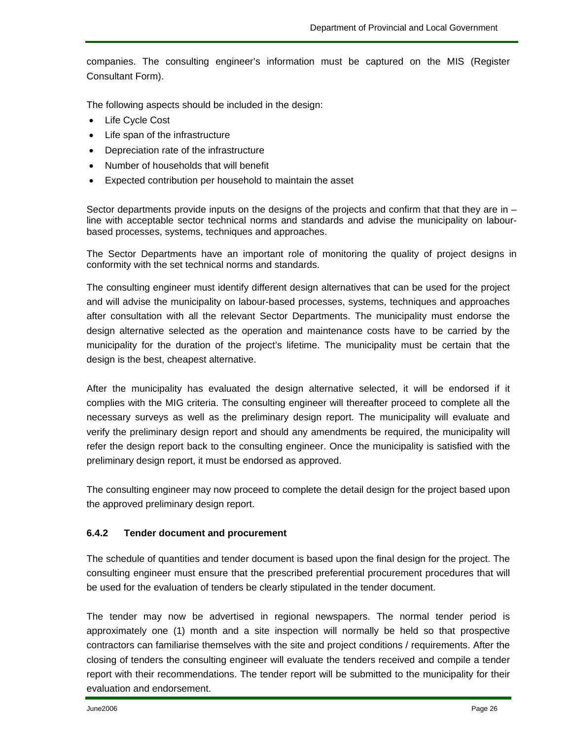companies. The consulting engineer's information must be captured on the MIS (Register Consultant Form).

The following aspects should be included in the design:

- Life Cycle Cost
- Life span of the infrastructure
- Depreciation rate of the infrastructure
- Number of households that will benefit
- Expected contribution per household to maintain the asset

Sector departments provide inputs on the designs of the projects and confirm that that they are in – line with acceptable sector technical norms and standards and advise the municipality on labourbased processes, systems, techniques and approaches.

The Sector Departments have an important role of monitoring the quality of project designs in conformity with the set technical norms and standards.

The consulting engineer must identify different design alternatives that can be used for the project and will advise the municipality on labour-based processes, systems, techniques and approaches after consultation with all the relevant Sector Departments. The municipality must endorse the design alternative selected as the operation and maintenance costs have to be carried by the municipality for the duration of the project's lifetime. The municipality must be certain that the design is the best, cheapest alternative.

After the municipality has evaluated the design alternative selected, it will be endorsed if it complies with the MIG criteria. The consulting engineer will thereafter proceed to complete all the necessary surveys as well as the preliminary design report. The municipality will evaluate and verify the preliminary design report and should any amendments be required, the municipality will refer the design report back to the consulting engineer. Once the municipality is satisfied with the preliminary design report, it must be endorsed as approved.

The consulting engineer may now proceed to complete the detail design for the project based upon the approved preliminary design report.

#### **6.4.2 Tender document and procurement**

The schedule of quantities and tender document is based upon the final design for the project. The consulting engineer must ensure that the prescribed preferential procurement procedures that will be used for the evaluation of tenders be clearly stipulated in the tender document.

The tender may now be advertised in regional newspapers. The normal tender period is approximately one (1) month and a site inspection will normally be held so that prospective contractors can familiarise themselves with the site and project conditions / requirements. After the closing of tenders the consulting engineer will evaluate the tenders received and compile a tender report with their recommendations. The tender report will be submitted to the municipality for their evaluation and endorsement.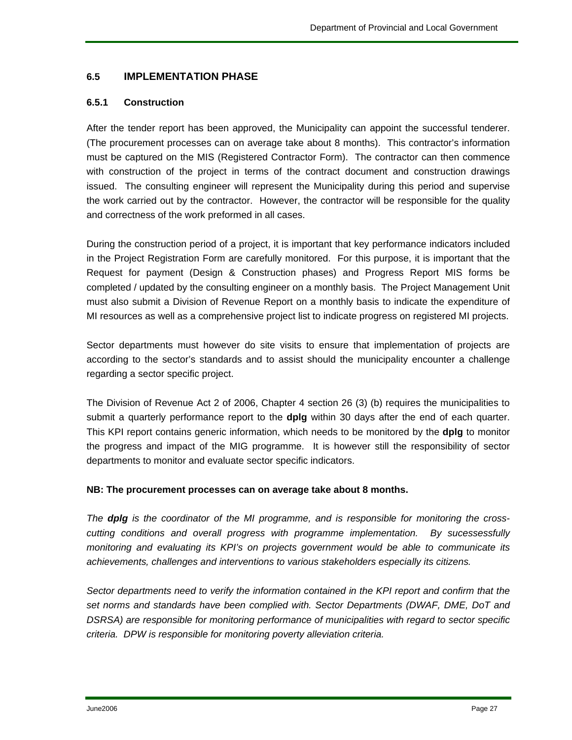#### **6.5 IMPLEMENTATION PHASE**

#### **6.5.1 Construction**

After the tender report has been approved, the Municipality can appoint the successful tenderer. (The procurement processes can on average take about 8 months). This contractor's information must be captured on the MIS (Registered Contractor Form). The contractor can then commence with construction of the project in terms of the contract document and construction drawings issued. The consulting engineer will represent the Municipality during this period and supervise the work carried out by the contractor. However, the contractor will be responsible for the quality and correctness of the work preformed in all cases.

During the construction period of a project, it is important that key performance indicators included in the Project Registration Form are carefully monitored. For this purpose, it is important that the Request for payment (Design & Construction phases) and Progress Report MIS forms be completed / updated by the consulting engineer on a monthly basis. The Project Management Unit must also submit a Division of Revenue Report on a monthly basis to indicate the expenditure of MI resources as well as a comprehensive project list to indicate progress on registered MI projects.

Sector departments must however do site visits to ensure that implementation of projects are according to the sector's standards and to assist should the municipality encounter a challenge regarding a sector specific project.

The Division of Revenue Act 2 of 2006, Chapter 4 section 26 (3) (b) requires the municipalities to submit a quarterly performance report to the **dplg** within 30 days after the end of each quarter. This KPI report contains generic information, which needs to be monitored by the **dplg** to monitor the progress and impact of the MIG programme. It is however still the responsibility of sector departments to monitor and evaluate sector specific indicators.

#### **NB: The procurement processes can on average take about 8 months.**

*The dplg is the coordinator of the MI programme, and is responsible for monitoring the crosscutting conditions and overall progress with programme implementation. By sucessessfully monitoring and evaluating its KPI's on projects government would be able to communicate its achievements, challenges and interventions to various stakeholders especially its citizens.* 

*Sector departments need to verify the information contained in the KPI report and confirm that the set norms and standards have been complied with. Sector Departments (DWAF, DME, DoT and DSRSA) are responsible for monitoring performance of municipalities with regard to sector specific criteria. DPW is responsible for monitoring poverty alleviation criteria.*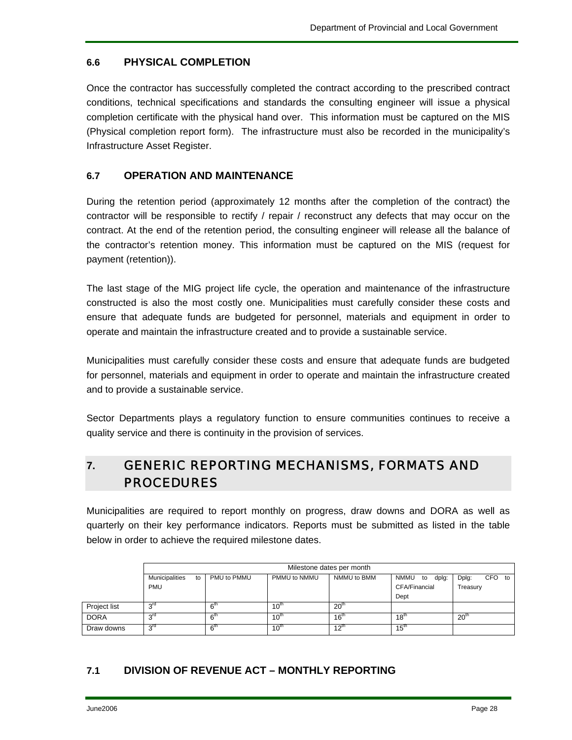#### **6.6 PHYSICAL COMPLETION**

Once the contractor has successfully completed the contract according to the prescribed contract conditions, technical specifications and standards the consulting engineer will issue a physical completion certificate with the physical hand over. This information must be captured on the MIS (Physical completion report form). The infrastructure must also be recorded in the municipality's Infrastructure Asset Register.

#### **6.7 OPERATION AND MAINTENANCE**

During the retention period (approximately 12 months after the completion of the contract) the contractor will be responsible to rectify / repair / reconstruct any defects that may occur on the contract. At the end of the retention period, the consulting engineer will release all the balance of the contractor's retention money. This information must be captured on the MIS (request for payment (retention)).

The last stage of the MIG project life cycle, the operation and maintenance of the infrastructure constructed is also the most costly one. Municipalities must carefully consider these costs and ensure that adequate funds are budgeted for personnel, materials and equipment in order to operate and maintain the infrastructure created and to provide a sustainable service.

Municipalities must carefully consider these costs and ensure that adequate funds are budgeted for personnel, materials and equipment in order to operate and maintain the infrastructure created and to provide a sustainable service.

Sector Departments plays a regulatory function to ensure communities continues to receive a quality service and there is continuity in the provision of services.

## **7.** GENERIC REPORTING MECHANISMS, FORMATS AND PROCEDURES

Municipalities are required to report monthly on progress, draw downs and DORA as well as quarterly on their key performance indicators. Reports must be submitted as listed in the table below in order to achieve the required milestone dates.

|              | Milestone dates per month |                 |                  |                  |                            |                           |
|--------------|---------------------------|-----------------|------------------|------------------|----------------------------|---------------------------|
|              | Municipalities<br>to      | PMU to PMMU     | PMMU to NMMU     | NMMU to BMM      | <b>NMMU</b><br>dplg:<br>to | <b>CFO</b><br>Dplg:<br>to |
|              | <b>PMU</b>                |                 |                  |                  | CFA/Financial              | Treasury                  |
|              |                           |                 |                  |                  | Dept                       |                           |
| Project list | rd د                      | 6 <sup>m</sup>  | $10^{\rm m}$     | 20 <sup>th</sup> |                            |                           |
| <b>DORA</b>  | ا∩ر∼                      | 6 <sup>m</sup>  | $10^{th}$        | 16 <sup>th</sup> | $18^{th}$                  | 20 <sup>th</sup>          |
| Draw downs   | 3 <sup>rd</sup>           | 6 <sup>th</sup> | 10 <sup>th</sup> | $12^{\text{m}}$  | $15^{\text{th}}$           |                           |

#### **7.1 DIVISION OF REVENUE ACT – MONTHLY REPORTING**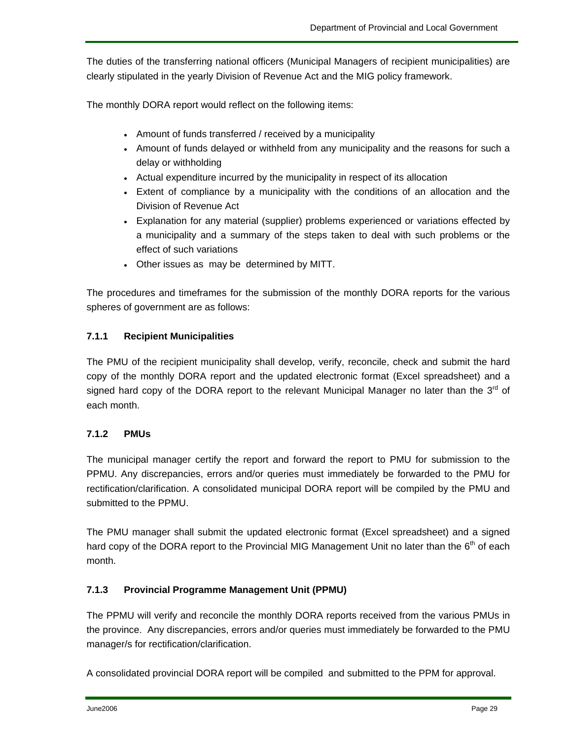The duties of the transferring national officers (Municipal Managers of recipient municipalities) are clearly stipulated in the yearly Division of Revenue Act and the MIG policy framework.

The monthly DORA report would reflect on the following items:

- Amount of funds transferred / received by a municipality
- Amount of funds delayed or withheld from any municipality and the reasons for such a delay or withholding
- Actual expenditure incurred by the municipality in respect of its allocation
- Extent of compliance by a municipality with the conditions of an allocation and the Division of Revenue Act
- Explanation for any material (supplier) problems experienced or variations effected by a municipality and a summary of the steps taken to deal with such problems or the effect of such variations
- Other issues as may be determined by MITT.

The procedures and timeframes for the submission of the monthly DORA reports for the various spheres of government are as follows:

#### **7.1.1 Recipient Municipalities**

The PMU of the recipient municipality shall develop, verify, reconcile, check and submit the hard copy of the monthly DORA report and the updated electronic format (Excel spreadsheet) and a signed hard copy of the DORA report to the relevant Municipal Manager no later than the  $3<sup>rd</sup>$  of each month.

#### **7.1.2 PMUs**

The municipal manager certify the report and forward the report to PMU for submission to the PPMU. Any discrepancies, errors and/or queries must immediately be forwarded to the PMU for rectification/clarification. A consolidated municipal DORA report will be compiled by the PMU and submitted to the PPMU.

The PMU manager shall submit the updated electronic format (Excel spreadsheet) and a signed hard copy of the DORA report to the Provincial MIG Management Unit no later than the  $6<sup>th</sup>$  of each month.

#### **7.1.3 Provincial Programme Management Unit (PPMU)**

The PPMU will verify and reconcile the monthly DORA reports received from the various PMUs in the province. Any discrepancies, errors and/or queries must immediately be forwarded to the PMU manager/s for rectification/clarification.

A consolidated provincial DORA report will be compiled and submitted to the PPM for approval.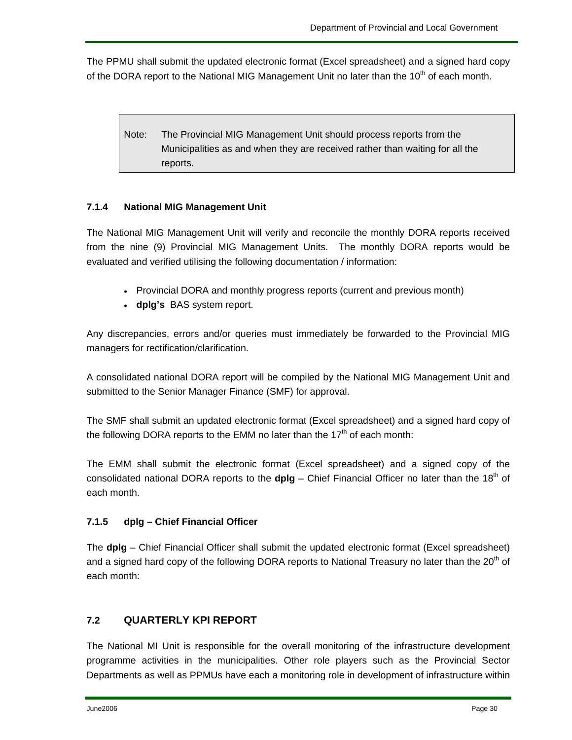The PPMU shall submit the updated electronic format (Excel spreadsheet) and a signed hard copy of the DORA report to the National MIG Management Unit no later than the  $10<sup>th</sup>$  of each month.

Note: The Provincial MIG Management Unit should process reports from the Municipalities as and when they are received rather than waiting for all the reports.

#### **7.1.4 National MIG Management Unit**

The National MIG Management Unit will verify and reconcile the monthly DORA reports received from the nine (9) Provincial MIG Management Units. The monthly DORA reports would be evaluated and verified utilising the following documentation / information:

- Provincial DORA and monthly progress reports (current and previous month)
- **dplg's** BAS system report.

Any discrepancies, errors and/or queries must immediately be forwarded to the Provincial MIG managers for rectification/clarification.

A consolidated national DORA report will be compiled by the National MIG Management Unit and submitted to the Senior Manager Finance (SMF) for approval.

The SMF shall submit an updated electronic format (Excel spreadsheet) and a signed hard copy of the following DORA reports to the EMM no later than the  $17<sup>th</sup>$  of each month:

The EMM shall submit the electronic format (Excel spreadsheet) and a signed copy of the consolidated national DORA reports to the **dplg** – Chief Financial Officer no later than the 18<sup>th</sup> of each month.

#### **7.1.5 dplg – Chief Financial Officer**

The **dplg** – Chief Financial Officer shall submit the updated electronic format (Excel spreadsheet) and a signed hard copy of the following DORA reports to National Treasury no later than the 20<sup>th</sup> of each month:

#### **7.2 QUARTERLY KPI REPORT**

The National MI Unit is responsible for the overall monitoring of the infrastructure development programme activities in the municipalities. Other role players such as the Provincial Sector Departments as well as PPMUs have each a monitoring role in development of infrastructure within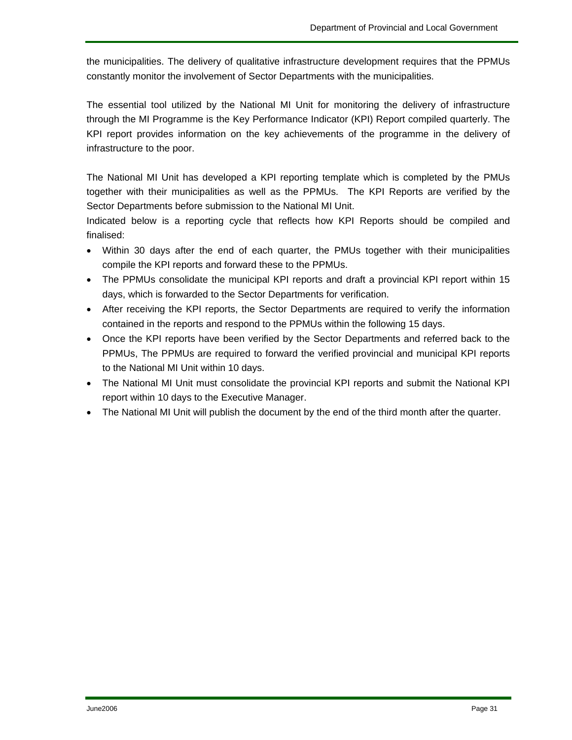the municipalities. The delivery of qualitative infrastructure development requires that the PPMUs constantly monitor the involvement of Sector Departments with the municipalities.

The essential tool utilized by the National MI Unit for monitoring the delivery of infrastructure through the MI Programme is the Key Performance Indicator (KPI) Report compiled quarterly. The KPI report provides information on the key achievements of the programme in the delivery of infrastructure to the poor.

The National MI Unit has developed a KPI reporting template which is completed by the PMUs together with their municipalities as well as the PPMUs. The KPI Reports are verified by the Sector Departments before submission to the National MI Unit.

Indicated below is a reporting cycle that reflects how KPI Reports should be compiled and finalised:

- Within 30 days after the end of each quarter, the PMUs together with their municipalities compile the KPI reports and forward these to the PPMUs.
- The PPMUs consolidate the municipal KPI reports and draft a provincial KPI report within 15 days, which is forwarded to the Sector Departments for verification.
- After receiving the KPI reports, the Sector Departments are required to verify the information contained in the reports and respond to the PPMUs within the following 15 days.
- Once the KPI reports have been verified by the Sector Departments and referred back to the PPMUs, The PPMUs are required to forward the verified provincial and municipal KPI reports to the National MI Unit within 10 days.
- The National MI Unit must consolidate the provincial KPI reports and submit the National KPI report within 10 days to the Executive Manager.
- The National MI Unit will publish the document by the end of the third month after the quarter.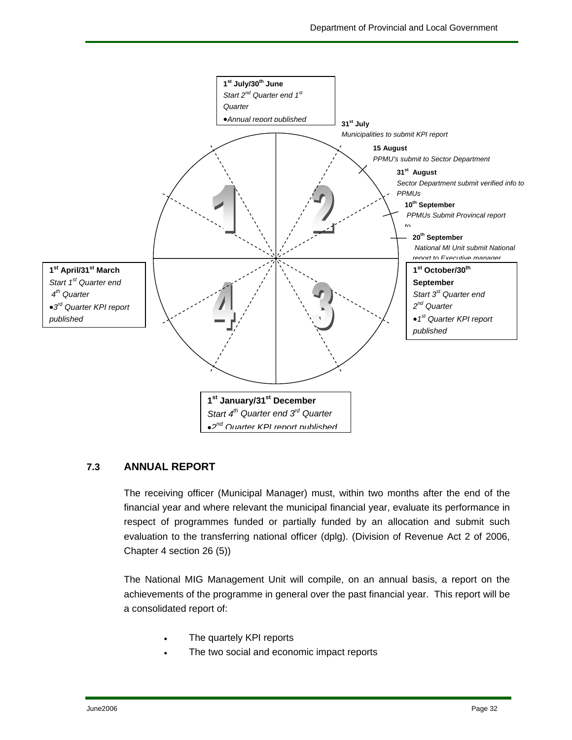

#### **7.3 ANNUAL REPORT**

The receiving officer (Municipal Manager) must, within two months after the end of the financial year and where relevant the municipal financial year, evaluate its performance in respect of programmes funded or partially funded by an allocation and submit such evaluation to the transferring national officer (dplg). (Division of Revenue Act 2 of 2006, Chapter 4 section 26 (5))

The National MIG Management Unit will compile, on an annual basis, a report on the achievements of the programme in general over the past financial year. This report will be a consolidated report of:

- The quartely KPI reports
- The two social and economic impact reports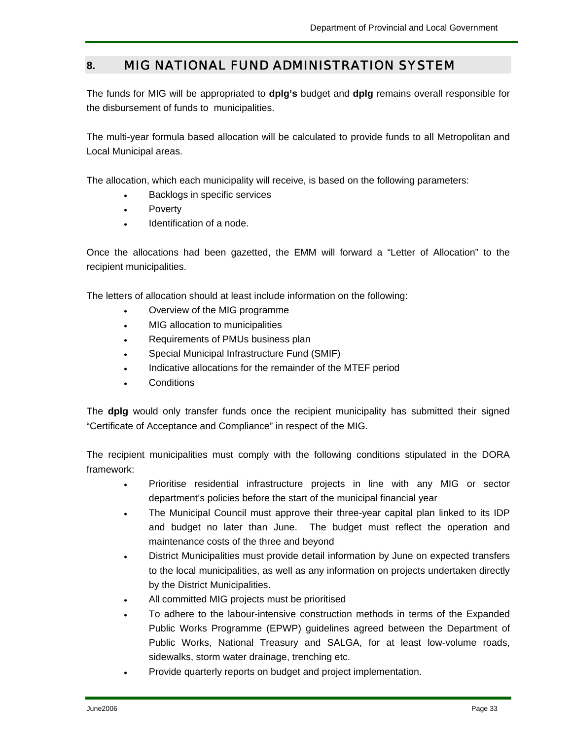## **8.** MIG NATIONAL FUND ADMINISTRATION SYSTEM

The funds for MIG will be appropriated to **dplg's** budget and **dplg** remains overall responsible for the disbursement of funds to municipalities.

The multi-year formula based allocation will be calculated to provide funds to all Metropolitan and Local Municipal areas.

The allocation, which each municipality will receive, is based on the following parameters:

- Backlogs in specific services
- **Poverty**
- Identification of a node.

Once the allocations had been gazetted, the EMM will forward a "Letter of Allocation" to the recipient municipalities.

The letters of allocation should at least include information on the following:

- Overview of the MIG programme
- MIG allocation to municipalities
- Requirements of PMUs business plan
- Special Municipal Infrastructure Fund (SMIF)
- Indicative allocations for the remainder of the MTEF period
- Conditions

The **dplg** would only transfer funds once the recipient municipality has submitted their signed "Certificate of Acceptance and Compliance" in respect of the MIG.

The recipient municipalities must comply with the following conditions stipulated in the DORA framework:

- Prioritise residential infrastructure projects in line with any MIG or sector department's policies before the start of the municipal financial year
- The Municipal Council must approve their three-year capital plan linked to its IDP and budget no later than June. The budget must reflect the operation and maintenance costs of the three and beyond
- District Municipalities must provide detail information by June on expected transfers to the local municipalities, as well as any information on projects undertaken directly by the District Municipalities.
- All committed MIG projects must be prioritised
- To adhere to the labour-intensive construction methods in terms of the Expanded Public Works Programme (EPWP) guidelines agreed between the Department of Public Works, National Treasury and SALGA, for at least low-volume roads, sidewalks, storm water drainage, trenching etc.
- Provide quarterly reports on budget and project implementation.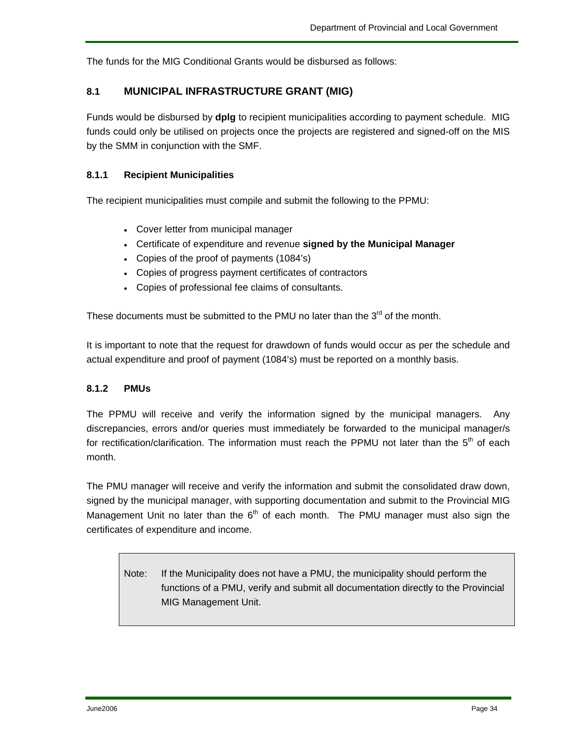The funds for the MIG Conditional Grants would be disbursed as follows:

#### **8.1 MUNICIPAL INFRASTRUCTURE GRANT (MIG)**

Funds would be disbursed by **dplg** to recipient municipalities according to payment schedule. MIG funds could only be utilised on projects once the projects are registered and signed-off on the MIS by the SMM in conjunction with the SMF.

#### **8.1.1 Recipient Municipalities**

The recipient municipalities must compile and submit the following to the PPMU:

- Cover letter from municipal manager
- Certificate of expenditure and revenue **signed by the Municipal Manager**
- Copies of the proof of payments (1084's)
- Copies of progress payment certificates of contractors
- Copies of professional fee claims of consultants.

These documents must be submitted to the PMU no later than the  $3<sup>rd</sup>$  of the month.

It is important to note that the request for drawdown of funds would occur as per the schedule and actual expenditure and proof of payment (1084's) must be reported on a monthly basis.

#### **8.1.2 PMUs**

The PPMU will receive and verify the information signed by the municipal managers. Any discrepancies, errors and/or queries must immediately be forwarded to the municipal manager/s for rectification/clarification. The information must reach the PPMU not later than the  $5<sup>th</sup>$  of each month.

The PMU manager will receive and verify the information and submit the consolidated draw down, signed by the municipal manager, with supporting documentation and submit to the Provincial MIG Management Unit no later than the  $6<sup>th</sup>$  of each month. The PMU manager must also sign the certificates of expenditure and income.

Note: If the Municipality does not have a PMU, the municipality should perform the functions of a PMU, verify and submit all documentation directly to the Provincial MIG Management Unit.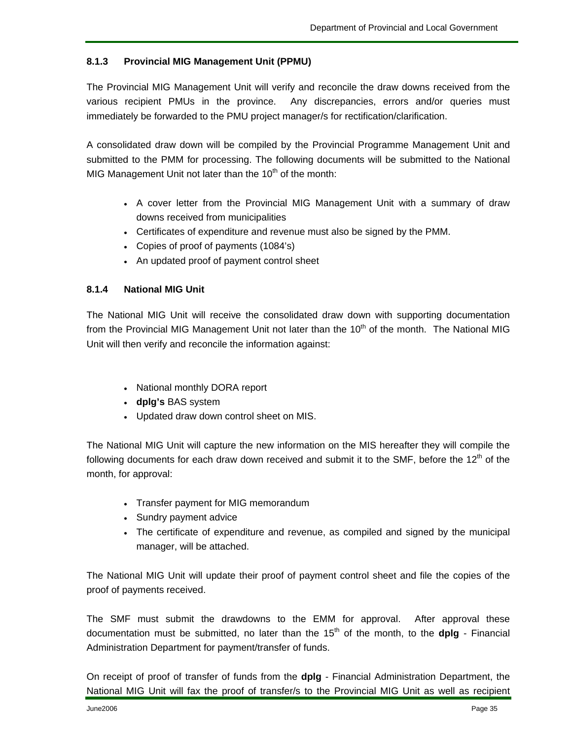#### **8.1.3 Provincial MIG Management Unit (PPMU)**

The Provincial MIG Management Unit will verify and reconcile the draw downs received from the various recipient PMUs in the province. Any discrepancies, errors and/or queries must immediately be forwarded to the PMU project manager/s for rectification/clarification.

A consolidated draw down will be compiled by the Provincial Programme Management Unit and submitted to the PMM for processing. The following documents will be submitted to the National MIG Management Unit not later than the  $10<sup>th</sup>$  of the month:

- A cover letter from the Provincial MIG Management Unit with a summary of draw downs received from municipalities
- Certificates of expenditure and revenue must also be signed by the PMM.
- Copies of proof of payments (1084's)
- An updated proof of payment control sheet

#### **8.1.4 National MIG Unit**

The National MIG Unit will receive the consolidated draw down with supporting documentation from the Provincial MIG Management Unit not later than the 10<sup>th</sup> of the month. The National MIG Unit will then verify and reconcile the information against:

- National monthly DORA report
- **dplg's** BAS system
- Updated draw down control sheet on MIS.

The National MIG Unit will capture the new information on the MIS hereafter they will compile the following documents for each draw down received and submit it to the SMF, before the 12<sup>th</sup> of the month, for approval:

- Transfer payment for MIG memorandum
- Sundry payment advice
- The certificate of expenditure and revenue, as compiled and signed by the municipal manager, will be attached.

The National MIG Unit will update their proof of payment control sheet and file the copies of the proof of payments received.

The SMF must submit the drawdowns to the EMM for approval. After approval these documentation must be submitted, no later than the 15th of the month, to the **dplg** - Financial Administration Department for payment/transfer of funds.

On receipt of proof of transfer of funds from the **dplg** - Financial Administration Department, the National MIG Unit will fax the proof of transfer/s to the Provincial MIG Unit as well as recipient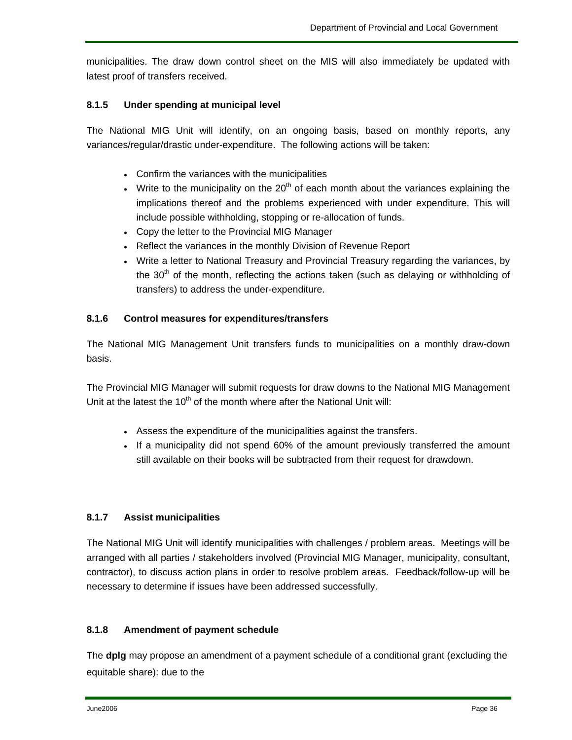municipalities. The draw down control sheet on the MIS will also immediately be updated with latest proof of transfers received.

#### **8.1.5 Under spending at municipal level**

The National MIG Unit will identify, on an ongoing basis, based on monthly reports, any variances/regular/drastic under-expenditure. The following actions will be taken:

- Confirm the variances with the municipalities
- Write to the municipality on the  $20<sup>th</sup>$  of each month about the variances explaining the implications thereof and the problems experienced with under expenditure. This will include possible withholding, stopping or re-allocation of funds.
- Copy the letter to the Provincial MIG Manager
- Reflect the variances in the monthly Division of Revenue Report
- Write a letter to National Treasury and Provincial Treasury regarding the variances, by the  $30<sup>th</sup>$  of the month, reflecting the actions taken (such as delaying or withholding of transfers) to address the under-expenditure.

#### **8.1.6 Control measures for expenditures/transfers**

The National MIG Management Unit transfers funds to municipalities on a monthly draw-down basis.

The Provincial MIG Manager will submit requests for draw downs to the National MIG Management Unit at the latest the  $10<sup>th</sup>$  of the month where after the National Unit will:

- Assess the expenditure of the municipalities against the transfers.
- If a municipality did not spend 60% of the amount previously transferred the amount still available on their books will be subtracted from their request for drawdown.

#### **8.1.7 Assist municipalities**

The National MIG Unit will identify municipalities with challenges / problem areas. Meetings will be arranged with all parties / stakeholders involved (Provincial MIG Manager, municipality, consultant, contractor), to discuss action plans in order to resolve problem areas. Feedback/follow-up will be necessary to determine if issues have been addressed successfully.

#### **8.1.8 Amendment of payment schedule**

The **dplg** may propose an amendment of a payment schedule of a conditional grant (excluding the equitable share): due to the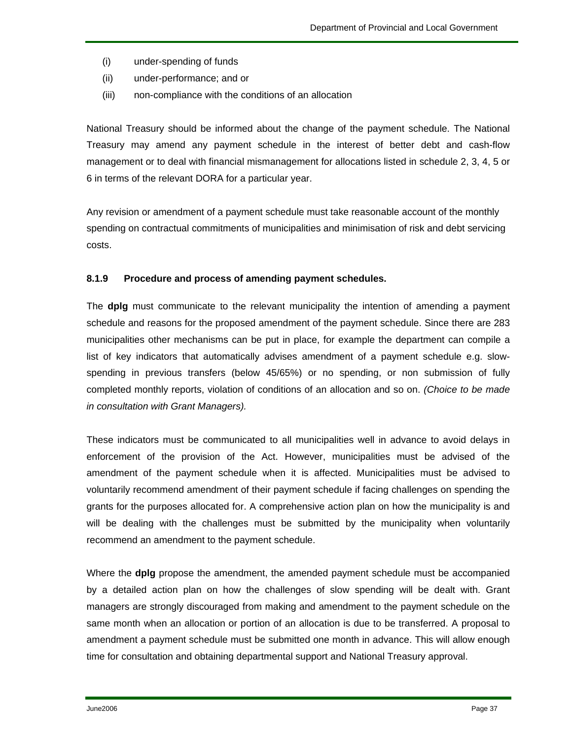- (i) under-spending of funds
- (ii) under-performance; and or
- (iii) non-compliance with the conditions of an allocation

National Treasury should be informed about the change of the payment schedule. The National Treasury may amend any payment schedule in the interest of better debt and cash-flow management or to deal with financial mismanagement for allocations listed in schedule 2, 3, 4, 5 or 6 in terms of the relevant DORA for a particular year.

Any revision or amendment of a payment schedule must take reasonable account of the monthly spending on contractual commitments of municipalities and minimisation of risk and debt servicing costs.

#### **8.1.9 Procedure and process of amending payment schedules.**

The **dplg** must communicate to the relevant municipality the intention of amending a payment schedule and reasons for the proposed amendment of the payment schedule. Since there are 283 municipalities other mechanisms can be put in place, for example the department can compile a list of key indicators that automatically advises amendment of a payment schedule e.g. slowspending in previous transfers (below 45/65%) or no spending, or non submission of fully completed monthly reports, violation of conditions of an allocation and so on. *(Choice to be made in consultation with Grant Managers).*

These indicators must be communicated to all municipalities well in advance to avoid delays in enforcement of the provision of the Act. However, municipalities must be advised of the amendment of the payment schedule when it is affected. Municipalities must be advised to voluntarily recommend amendment of their payment schedule if facing challenges on spending the grants for the purposes allocated for. A comprehensive action plan on how the municipality is and will be dealing with the challenges must be submitted by the municipality when voluntarily recommend an amendment to the payment schedule.

Where the **dplg** propose the amendment, the amended payment schedule must be accompanied by a detailed action plan on how the challenges of slow spending will be dealt with. Grant managers are strongly discouraged from making and amendment to the payment schedule on the same month when an allocation or portion of an allocation is due to be transferred. A proposal to amendment a payment schedule must be submitted one month in advance. This will allow enough time for consultation and obtaining departmental support and National Treasury approval.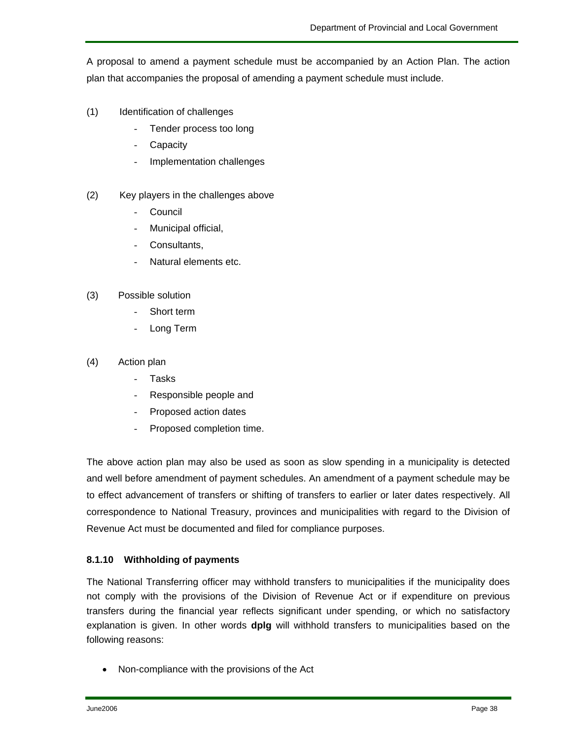A proposal to amend a payment schedule must be accompanied by an Action Plan. The action plan that accompanies the proposal of amending a payment schedule must include.

- (1) Identification of challenges
	- Tender process too long
	- **Capacity**
	- Implementation challenges
- (2) Key players in the challenges above
	- **Council**
	- Municipal official,
	- Consultants,
	- Natural elements etc.
- (3) Possible solution
	- Short term
	- Long Term
- (4) Action plan
	- **Tasks**
	- Responsible people and
	- Proposed action dates
	- Proposed completion time.

The above action plan may also be used as soon as slow spending in a municipality is detected and well before amendment of payment schedules. An amendment of a payment schedule may be to effect advancement of transfers or shifting of transfers to earlier or later dates respectively. All correspondence to National Treasury, provinces and municipalities with regard to the Division of Revenue Act must be documented and filed for compliance purposes.

#### **8.1.10 Withholding of payments**

The National Transferring officer may withhold transfers to municipalities if the municipality does not comply with the provisions of the Division of Revenue Act or if expenditure on previous transfers during the financial year reflects significant under spending, or which no satisfactory explanation is given. In other words **dplg** will withhold transfers to municipalities based on the following reasons:

• Non-compliance with the provisions of the Act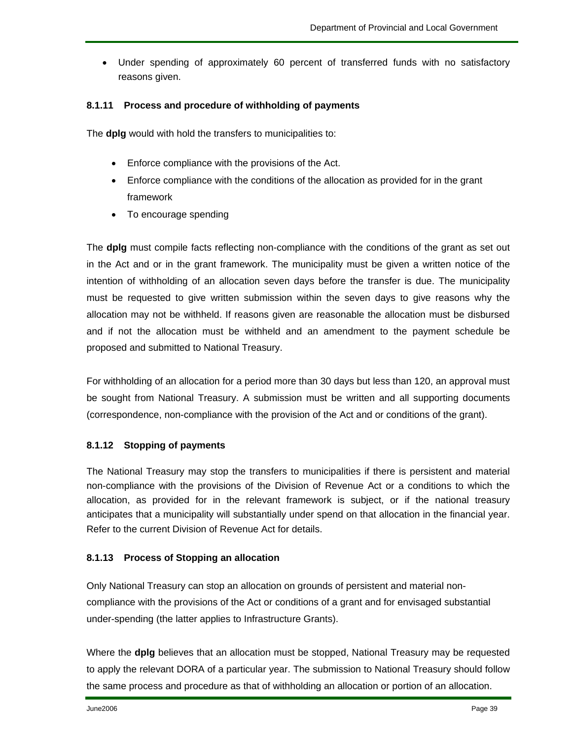• Under spending of approximately 60 percent of transferred funds with no satisfactory reasons given.

#### **8.1.11 Process and procedure of withholding of payments**

The **dplg** would with hold the transfers to municipalities to:

- Enforce compliance with the provisions of the Act.
- Enforce compliance with the conditions of the allocation as provided for in the grant framework
- To encourage spending

The **dplg** must compile facts reflecting non-compliance with the conditions of the grant as set out in the Act and or in the grant framework. The municipality must be given a written notice of the intention of withholding of an allocation seven days before the transfer is due. The municipality must be requested to give written submission within the seven days to give reasons why the allocation may not be withheld. If reasons given are reasonable the allocation must be disbursed and if not the allocation must be withheld and an amendment to the payment schedule be proposed and submitted to National Treasury.

For withholding of an allocation for a period more than 30 days but less than 120, an approval must be sought from National Treasury. A submission must be written and all supporting documents (correspondence, non-compliance with the provision of the Act and or conditions of the grant).

#### **8.1.12 Stopping of payments**

The National Treasury may stop the transfers to municipalities if there is persistent and material non-compliance with the provisions of the Division of Revenue Act or a conditions to which the allocation, as provided for in the relevant framework is subject, or if the national treasury anticipates that a municipality will substantially under spend on that allocation in the financial year. Refer to the current Division of Revenue Act for details.

#### **8.1.13 Process of Stopping an allocation**

Only National Treasury can stop an allocation on grounds of persistent and material noncompliance with the provisions of the Act or conditions of a grant and for envisaged substantial under-spending (the latter applies to Infrastructure Grants).

Where the **dplg** believes that an allocation must be stopped, National Treasury may be requested to apply the relevant DORA of a particular year. The submission to National Treasury should follow the same process and procedure as that of withholding an allocation or portion of an allocation.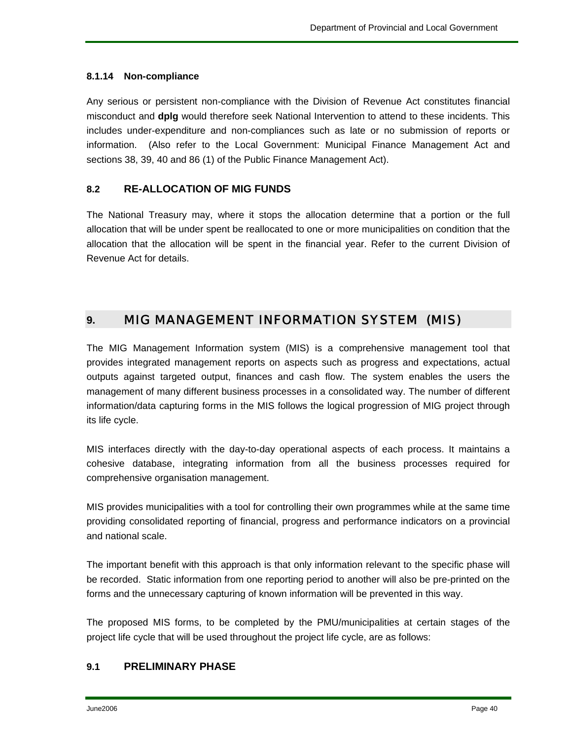#### **8.1.14 Non-compliance**

Any serious or persistent non-compliance with the Division of Revenue Act constitutes financial misconduct and **dplg** would therefore seek National Intervention to attend to these incidents. This includes under-expenditure and non-compliances such as late or no submission of reports or information. (Also refer to the Local Government: Municipal Finance Management Act and sections 38, 39, 40 and 86 (1) of the Public Finance Management Act).

#### **8.2 RE-ALLOCATION OF MIG FUNDS**

The National Treasury may, where it stops the allocation determine that a portion or the full allocation that will be under spent be reallocated to one or more municipalities on condition that the allocation that the allocation will be spent in the financial year. Refer to the current Division of Revenue Act for details.

## **9.** MIG MANAGEMENT INFORMATION SYSTEM (MIS)

The MIG Management Information system (MIS) is a comprehensive management tool that provides integrated management reports on aspects such as progress and expectations, actual outputs against targeted output, finances and cash flow. The system enables the users the management of many different business processes in a consolidated way. The number of different information/data capturing forms in the MIS follows the logical progression of MIG project through its life cycle.

MIS interfaces directly with the day-to-day operational aspects of each process. It maintains a cohesive database, integrating information from all the business processes required for comprehensive organisation management.

MIS provides municipalities with a tool for controlling their own programmes while at the same time providing consolidated reporting of financial, progress and performance indicators on a provincial and national scale.

The important benefit with this approach is that only information relevant to the specific phase will be recorded. Static information from one reporting period to another will also be pre-printed on the forms and the unnecessary capturing of known information will be prevented in this way.

The proposed MIS forms, to be completed by the PMU/municipalities at certain stages of the project life cycle that will be used throughout the project life cycle, are as follows:

#### **9.1 PRELIMINARY PHASE**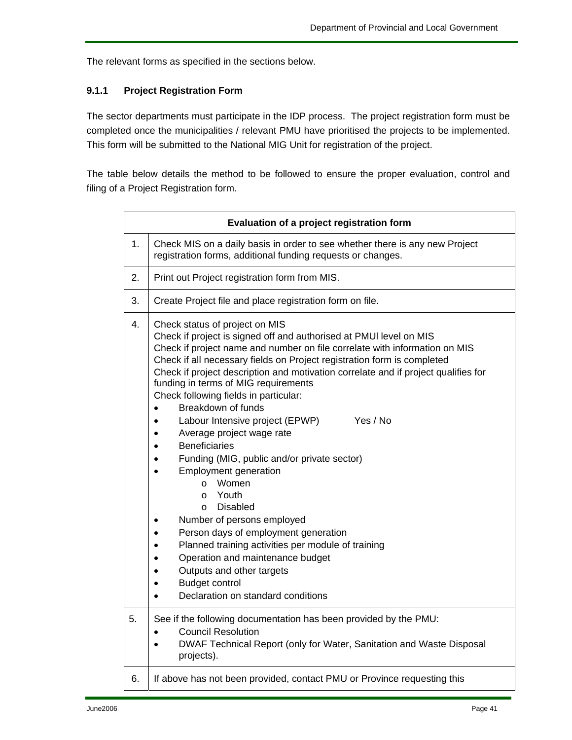The relevant forms as specified in the sections below.

#### **9.1.1 Project Registration Form**

The sector departments must participate in the IDP process. The project registration form must be completed once the municipalities / relevant PMU have prioritised the projects to be implemented. This form will be submitted to the National MIG Unit for registration of the project.

The table below details the method to be followed to ensure the proper evaluation, control and filing of a Project Registration form.

|    | Evaluation of a project registration form                                                                                                                                                                                                                                                                                                                                                                                                                                                                                                                                                                                                                                                                                                                                                                                                                                                                                                                                                           |  |  |
|----|-----------------------------------------------------------------------------------------------------------------------------------------------------------------------------------------------------------------------------------------------------------------------------------------------------------------------------------------------------------------------------------------------------------------------------------------------------------------------------------------------------------------------------------------------------------------------------------------------------------------------------------------------------------------------------------------------------------------------------------------------------------------------------------------------------------------------------------------------------------------------------------------------------------------------------------------------------------------------------------------------------|--|--|
| 1. | Check MIS on a daily basis in order to see whether there is any new Project<br>registration forms, additional funding requests or changes.                                                                                                                                                                                                                                                                                                                                                                                                                                                                                                                                                                                                                                                                                                                                                                                                                                                          |  |  |
| 2. | Print out Project registration form from MIS.                                                                                                                                                                                                                                                                                                                                                                                                                                                                                                                                                                                                                                                                                                                                                                                                                                                                                                                                                       |  |  |
| 3. | Create Project file and place registration form on file.                                                                                                                                                                                                                                                                                                                                                                                                                                                                                                                                                                                                                                                                                                                                                                                                                                                                                                                                            |  |  |
| 4. | Check status of project on MIS<br>Check if project is signed off and authorised at PMUI level on MIS<br>Check if project name and number on file correlate with information on MIS<br>Check if all necessary fields on Project registration form is completed<br>Check if project description and motivation correlate and if project qualifies for<br>funding in terms of MIG requirements<br>Check following fields in particular:<br>Breakdown of funds<br>$\bullet$<br>Yes / No<br>Labour Intensive project (EPWP)<br>Average project wage rate<br><b>Beneficiaries</b><br>Funding (MIG, public and/or private sector)<br>Employment generation<br>Women<br>$\circ$<br>Youth<br>$\circ$<br><b>Disabled</b><br>$\Omega$<br>Number of persons employed<br>Person days of employment generation<br>Planned training activities per module of training<br>Operation and maintenance budget<br>Outputs and other targets<br><b>Budget control</b><br>Declaration on standard conditions<br>$\bullet$ |  |  |
| 5. | See if the following documentation has been provided by the PMU:<br><b>Council Resolution</b><br>DWAF Technical Report (only for Water, Sanitation and Waste Disposal<br>projects).                                                                                                                                                                                                                                                                                                                                                                                                                                                                                                                                                                                                                                                                                                                                                                                                                 |  |  |
| 6. | If above has not been provided, contact PMU or Province requesting this                                                                                                                                                                                                                                                                                                                                                                                                                                                                                                                                                                                                                                                                                                                                                                                                                                                                                                                             |  |  |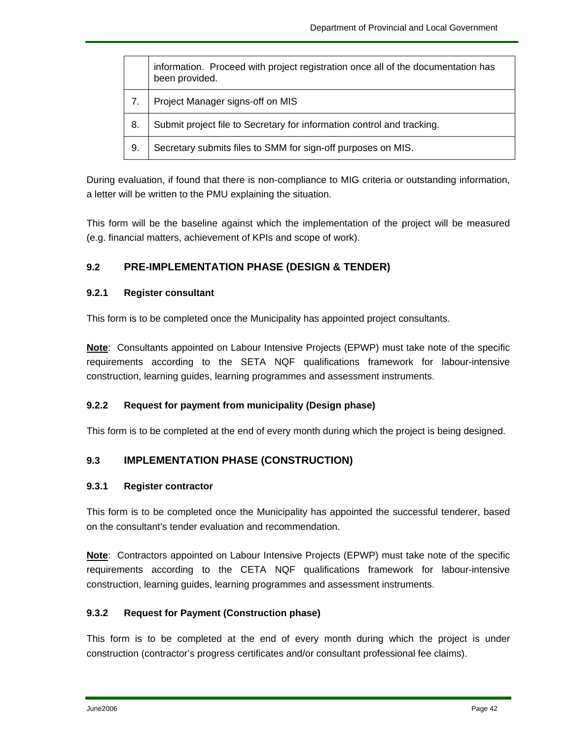|    | information. Proceed with project registration once all of the documentation has<br>been provided. |
|----|----------------------------------------------------------------------------------------------------|
| 7. | Project Manager signs-off on MIS                                                                   |
| 8. | Submit project file to Secretary for information control and tracking.                             |
| 9. | Secretary submits files to SMM for sign-off purposes on MIS.                                       |

During evaluation, if found that there is non-compliance to MIG criteria or outstanding information, a letter will be written to the PMU explaining the situation.

This form will be the baseline against which the implementation of the project will be measured (e.g. financial matters, achievement of KPIs and scope of work).

#### **9.2 PRE-IMPLEMENTATION PHASE (DESIGN & TENDER)**

#### **9.2.1 Register consultant**

This form is to be completed once the Municipality has appointed project consultants.

**Note**: Consultants appointed on Labour Intensive Projects (EPWP) must take note of the specific requirements according to the SETA NQF qualifications framework for labour-intensive construction, learning guides, learning programmes and assessment instruments.

#### **9.2.2 Request for payment from municipality (Design phase)**

This form is to be completed at the end of every month during which the project is being designed.

#### **9.3 IMPLEMENTATION PHASE (CONSTRUCTION)**

#### **9.3.1 Register contractor**

This form is to be completed once the Municipality has appointed the successful tenderer, based on the consultant's tender evaluation and recommendation.

**Note**: Contractors appointed on Labour Intensive Projects (EPWP) must take note of the specific requirements according to the CETA NQF qualifications framework for labour-intensive construction, learning guides, learning programmes and assessment instruments.

#### **9.3.2 Request for Payment (Construction phase)**

This form is to be completed at the end of every month during which the project is under construction (contractor's progress certificates and/or consultant professional fee claims).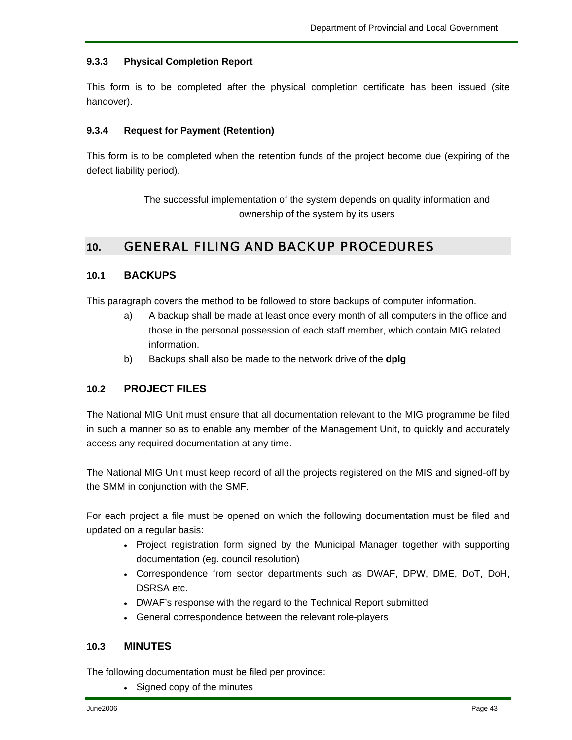#### **9.3.3 Physical Completion Report**

This form is to be completed after the physical completion certificate has been issued (site handover).

#### **9.3.4 Request for Payment (Retention)**

This form is to be completed when the retention funds of the project become due (expiring of the defect liability period).

> The successful implementation of the system depends on quality information and ownership of the system by its users

## **10.** GENERAL FILING AND BACKUP PROCEDURES

#### **10.1 BACKUPS**

This paragraph covers the method to be followed to store backups of computer information.

- a) A backup shall be made at least once every month of all computers in the office and those in the personal possession of each staff member, which contain MIG related information.
- b) Backups shall also be made to the network drive of the **dplg**

#### **10.2 PROJECT FILES**

The National MIG Unit must ensure that all documentation relevant to the MIG programme be filed in such a manner so as to enable any member of the Management Unit, to quickly and accurately access any required documentation at any time.

The National MIG Unit must keep record of all the projects registered on the MIS and signed-off by the SMM in conjunction with the SMF.

For each project a file must be opened on which the following documentation must be filed and updated on a regular basis:

- Project registration form signed by the Municipal Manager together with supporting documentation (eg. council resolution)
- Correspondence from sector departments such as DWAF, DPW, DME, DoT, DoH, DSRSA etc.
- DWAF's response with the regard to the Technical Report submitted
- General correspondence between the relevant role-players

#### **10.3 MINUTES**

The following documentation must be filed per province:

• Signed copy of the minutes